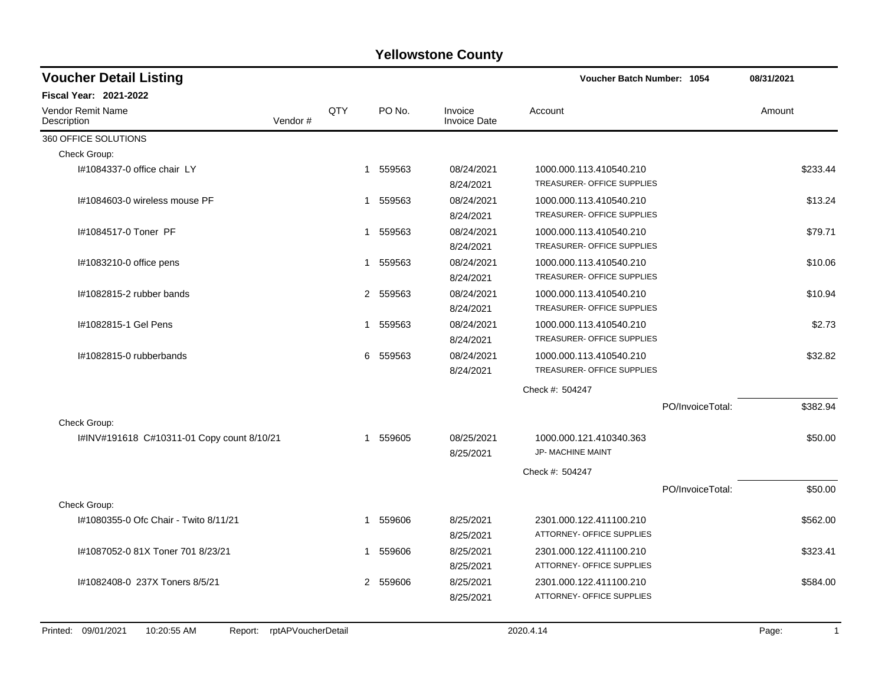| <b>Voucher Detail Listing</b>                      |                    |                          |                                | Voucher Batch Number: 1054                            |                  | 08/31/2021            |
|----------------------------------------------------|--------------------|--------------------------|--------------------------------|-------------------------------------------------------|------------------|-----------------------|
| <b>Fiscal Year: 2021-2022</b>                      |                    |                          |                                |                                                       |                  |                       |
| <b>Vendor Remit Name</b><br>Vendor#<br>Description | QTY                | PO No.                   | Invoice<br><b>Invoice Date</b> | Account                                               |                  | Amount                |
| 360 OFFICE SOLUTIONS                               |                    |                          |                                |                                                       |                  |                       |
| Check Group:                                       |                    |                          |                                |                                                       |                  |                       |
| I#1084337-0 office chair LY                        |                    | 1 559563                 | 08/24/2021<br>8/24/2021        | 1000.000.113.410540.210<br>TREASURER- OFFICE SUPPLIES |                  | \$233.44              |
| I#1084603-0 wireless mouse PF                      | 1                  | 559563                   | 08/24/2021<br>8/24/2021        | 1000.000.113.410540.210<br>TREASURER- OFFICE SUPPLIES |                  | \$13.24               |
| I#1084517-0 Toner PF                               | 1                  | 559563                   | 08/24/2021<br>8/24/2021        | 1000.000.113.410540.210<br>TREASURER- OFFICE SUPPLIES |                  | \$79.71               |
| I#1083210-0 office pens                            | 1                  | 559563                   | 08/24/2021<br>8/24/2021        | 1000.000.113.410540.210<br>TREASURER- OFFICE SUPPLIES |                  | \$10.06               |
| #1082815-2 rubber bands                            |                    | 2 559563                 | 08/24/2021<br>8/24/2021        | 1000.000.113.410540.210<br>TREASURER- OFFICE SUPPLIES |                  | \$10.94               |
| #1082815-1 Gel Pens                                | 1                  | 559563                   | 08/24/2021<br>8/24/2021        | 1000.000.113.410540.210<br>TREASURER- OFFICE SUPPLIES |                  | \$2.73                |
| #1082815-0 rubberbands                             | 6                  | 559563                   | 08/24/2021<br>8/24/2021        | 1000.000.113.410540.210<br>TREASURER- OFFICE SUPPLIES |                  | \$32.82               |
|                                                    |                    |                          |                                | Check #: 504247                                       |                  |                       |
|                                                    |                    |                          |                                |                                                       | PO/InvoiceTotal: | \$382.94              |
| Check Group:                                       |                    |                          |                                |                                                       |                  |                       |
| I#INV#191618 C#10311-01 Copy count 8/10/21         | 1                  | 559605                   | 08/25/2021<br>8/25/2021        | 1000.000.121.410340.363<br>JP- MACHINE MAINT          |                  | \$50.00               |
|                                                    |                    |                          |                                | Check #: 504247                                       |                  |                       |
|                                                    |                    |                          |                                |                                                       | PO/InvoiceTotal: | \$50.00               |
| Check Group:                                       |                    |                          |                                |                                                       |                  |                       |
| I#1080355-0 Ofc Chair - Twito 8/11/21              | 1                  | 559606                   | 8/25/2021<br>8/25/2021         | 2301.000.122.411100.210<br>ATTORNEY- OFFICE SUPPLIES  |                  | \$562.00              |
| #1087052-0 81X Toner 701 8/23/21                   | 1                  | 559606                   | 8/25/2021<br>8/25/2021         | 2301.000.122.411100.210<br>ATTORNEY- OFFICE SUPPLIES  |                  | \$323.41              |
| #1082408-0 237X Toners 8/5/21                      |                    | $\overline{2}$<br>559606 | 8/25/2021<br>8/25/2021         | 2301.000.122.411100.210<br>ATTORNEY- OFFICE SUPPLIES  |                  | \$584.00              |
| Printed: 09/01/2021<br>10:20:55 AM<br>Report:      | rptAPVoucherDetail |                          |                                | 2020.4.14                                             |                  | Page:<br>$\mathbf{1}$ |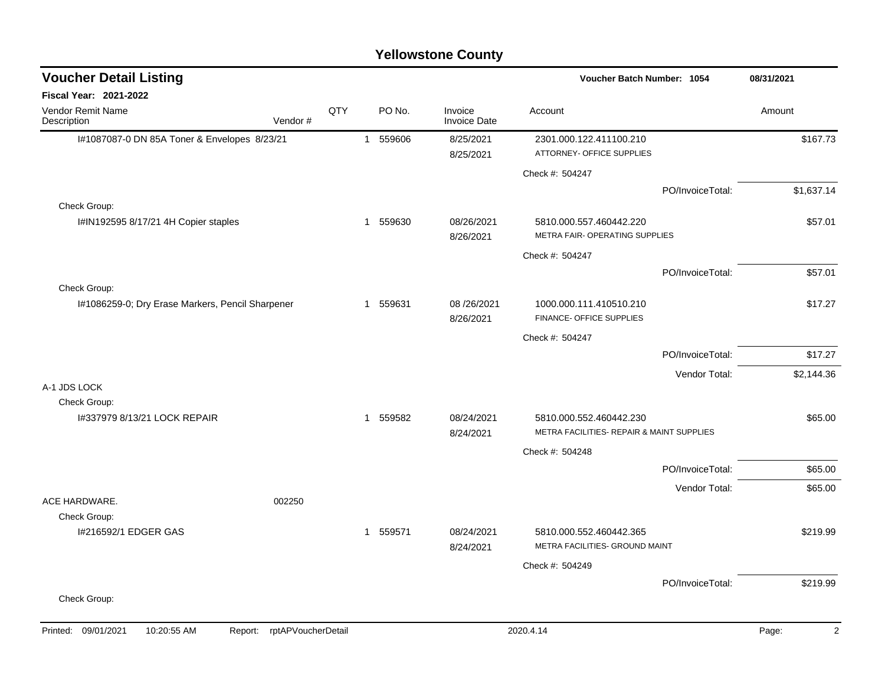| <b>Voucher Detail Listing</b>                    |                               |     |             |                                | Voucher Batch Number: 1054                                           | 08/31/2021       |            |
|--------------------------------------------------|-------------------------------|-----|-------------|--------------------------------|----------------------------------------------------------------------|------------------|------------|
| Fiscal Year: 2021-2022                           |                               |     |             |                                |                                                                      |                  |            |
| Vendor Remit Name<br>Description                 | Vendor#                       | QTY | PO No.      | Invoice<br><b>Invoice Date</b> | Account                                                              |                  | Amount     |
| I#1087087-0 DN 85A Toner & Envelopes 8/23/21     |                               |     | 1 559606    | 8/25/2021                      | 2301.000.122.411100.210                                              |                  | \$167.73   |
|                                                  |                               |     |             | 8/25/2021                      | ATTORNEY- OFFICE SUPPLIES                                            |                  |            |
|                                                  |                               |     |             |                                | Check #: 504247                                                      |                  |            |
|                                                  |                               |     |             |                                |                                                                      | PO/InvoiceTotal: | \$1,637.14 |
| Check Group:                                     |                               |     |             |                                |                                                                      |                  |            |
| I#IN192595 8/17/21 4H Copier staples             |                               |     | 1 559630    | 08/26/2021<br>8/26/2021        | 5810.000.557.460442.220<br>METRA FAIR- OPERATING SUPPLIES            |                  | \$57.01    |
|                                                  |                               |     |             |                                | Check #: 504247                                                      |                  |            |
|                                                  |                               |     |             |                                |                                                                      | PO/InvoiceTotal: | \$57.01    |
| Check Group:                                     |                               |     |             |                                |                                                                      |                  |            |
| I#1086259-0; Dry Erase Markers, Pencil Sharpener |                               |     | 1 559631    | 08/26/2021<br>8/26/2021        | 1000.000.111.410510.210<br>FINANCE- OFFICE SUPPLIES                  |                  | \$17.27    |
|                                                  |                               |     |             |                                | Check #: 504247                                                      |                  |            |
|                                                  |                               |     |             |                                |                                                                      | PO/InvoiceTotal: | \$17.27    |
|                                                  |                               |     |             |                                |                                                                      | Vendor Total:    | \$2,144.36 |
| A-1 JDS LOCK                                     |                               |     |             |                                |                                                                      |                  |            |
| Check Group:                                     |                               |     |             |                                |                                                                      |                  |            |
| 1#337979 8/13/21 LOCK REPAIR                     |                               |     | 559582<br>1 | 08/24/2021<br>8/24/2021        | 5810.000.552.460442.230<br>METRA FACILITIES- REPAIR & MAINT SUPPLIES |                  | \$65.00    |
|                                                  |                               |     |             |                                |                                                                      |                  |            |
|                                                  |                               |     |             |                                | Check #: 504248                                                      |                  |            |
|                                                  |                               |     |             |                                |                                                                      | PO/InvoiceTotal: | \$65.00    |
| ACE HARDWARE.                                    | 002250                        |     |             |                                |                                                                      | Vendor Total:    | \$65.00    |
| Check Group:                                     |                               |     |             |                                |                                                                      |                  |            |
| I#216592/1 EDGER GAS                             |                               |     | 1 559571    | 08/24/2021                     | 5810.000.552.460442.365                                              |                  | \$219.99   |
|                                                  |                               |     |             | 8/24/2021                      | METRA FACILITIES- GROUND MAINT                                       |                  |            |
|                                                  |                               |     |             |                                | Check #: 504249                                                      |                  |            |
|                                                  |                               |     |             |                                |                                                                      | PO/InvoiceTotal: | \$219.99   |
| Check Group:                                     |                               |     |             |                                |                                                                      |                  |            |
|                                                  |                               |     |             |                                |                                                                      |                  |            |
| Printed: 09/01/2021<br>10:20:55 AM               | rptAPVoucherDetail<br>Report: |     |             |                                | 2020.4.14                                                            |                  | 2<br>Page: |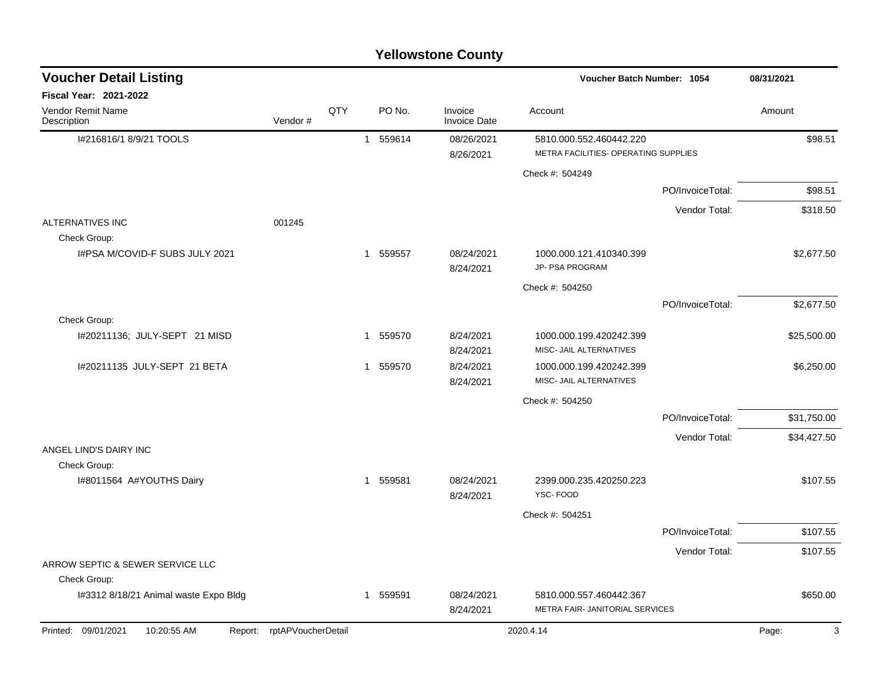| <b>Voucher Detail Listing</b>                 |                    |     |                        |                                | Voucher Batch Number: 1054                                      |                  | 08/31/2021  |  |
|-----------------------------------------------|--------------------|-----|------------------------|--------------------------------|-----------------------------------------------------------------|------------------|-------------|--|
| Fiscal Year: 2021-2022                        |                    |     |                        |                                |                                                                 |                  |             |  |
| Vendor Remit Name<br>Description              | Vendor#            | QTY | PO No.                 | Invoice<br><b>Invoice Date</b> | Account                                                         |                  | Amount      |  |
| I#216816/1 8/9/21 TOOLS                       |                    |     | 1 559614               | 08/26/2021<br>8/26/2021        | 5810.000.552.460442.220<br>METRA FACILITIES- OPERATING SUPPLIES |                  | \$98.51     |  |
|                                               |                    |     |                        |                                | Check #: 504249                                                 |                  |             |  |
|                                               |                    |     |                        |                                |                                                                 | PO/InvoiceTotal: | \$98.51     |  |
|                                               |                    |     |                        |                                |                                                                 | Vendor Total:    | \$318.50    |  |
| <b>ALTERNATIVES INC</b><br>Check Group:       | 001245             |     |                        |                                |                                                                 |                  |             |  |
| I#PSA M/COVID-F SUBS JULY 2021                |                    |     | 1 559557               | 08/24/2021<br>8/24/2021        | 1000.000.121.410340.399<br>JP- PSA PROGRAM                      |                  | \$2,677.50  |  |
|                                               |                    |     |                        |                                | Check #: 504250                                                 |                  |             |  |
|                                               |                    |     |                        |                                |                                                                 | PO/InvoiceTotal: | \$2,677.50  |  |
| Check Group:                                  |                    |     |                        |                                |                                                                 |                  |             |  |
| I#20211136; JULY-SEPT 21 MISD                 |                    |     | 559570<br>$\mathbf{1}$ | 8/24/2021<br>8/24/2021         | 1000.000.199.420242.399<br>MISC- JAIL ALTERNATIVES              |                  | \$25,500.00 |  |
| I#20211135 JULY-SEPT 21 BETA                  |                    |     | 1 559570               | 8/24/2021<br>8/24/2021         | 1000.000.199.420242.399<br>MISC- JAIL ALTERNATIVES              |                  | \$6,250.00  |  |
|                                               |                    |     |                        |                                | Check #: 504250                                                 |                  |             |  |
|                                               |                    |     |                        |                                |                                                                 | PO/InvoiceTotal: | \$31,750.00 |  |
|                                               |                    |     |                        |                                |                                                                 | Vendor Total:    | \$34,427.50 |  |
| ANGEL LIND'S DAIRY INC                        |                    |     |                        |                                |                                                                 |                  |             |  |
| Check Group:<br>I#8011564 A#YOUTHS Dairy      |                    |     | 559581<br>$\mathbf{1}$ | 08/24/2021<br>8/24/2021        | 2399.000.235.420250.223<br>YSC-FOOD                             |                  | \$107.55    |  |
|                                               |                    |     |                        |                                | Check #: 504251                                                 |                  |             |  |
|                                               |                    |     |                        |                                |                                                                 | PO/InvoiceTotal: | \$107.55    |  |
|                                               |                    |     |                        |                                |                                                                 | Vendor Total:    | \$107.55    |  |
| ARROW SEPTIC & SEWER SERVICE LLC              |                    |     |                        |                                |                                                                 |                  |             |  |
| Check Group:                                  |                    |     |                        |                                |                                                                 |                  |             |  |
| I#3312 8/18/21 Animal waste Expo Bldg         |                    |     | 1 559591               | 08/24/2021<br>8/24/2021        | 5810.000.557.460442.367<br>METRA FAIR- JANITORIAL SERVICES      |                  | \$650.00    |  |
| Printed: 09/01/2021<br>10:20:55 AM<br>Report: | rptAPVoucherDetail |     |                        |                                | 2020.4.14                                                       |                  | 3<br>Page:  |  |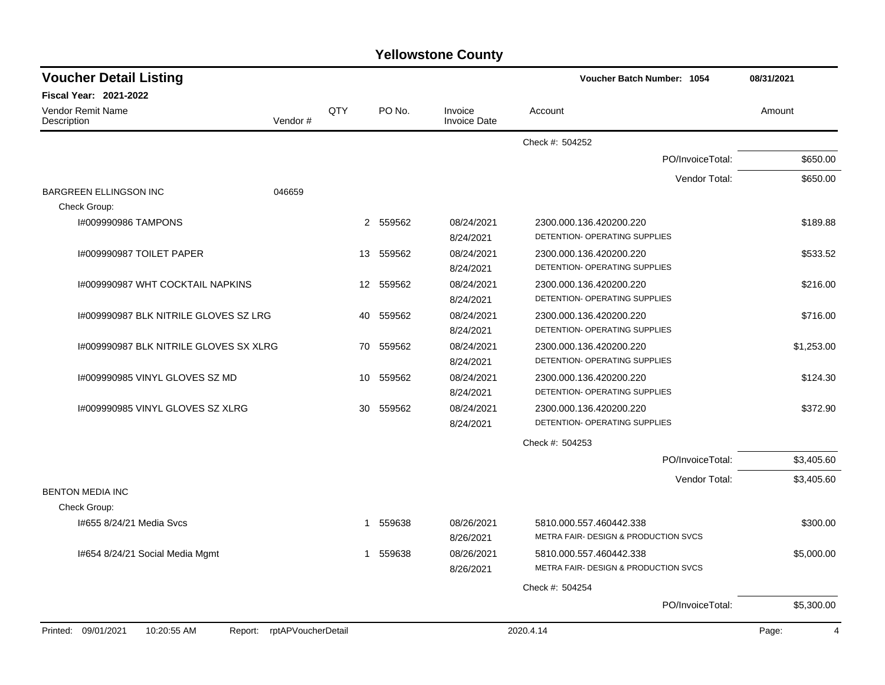| <b>Yellowstone County</b> |  |
|---------------------------|--|
|---------------------------|--|

| <b>Voucher Detail Listing</b>                 |                    |             |           |                                | Voucher Batch Number: 1054           | 08/31/2021              |
|-----------------------------------------------|--------------------|-------------|-----------|--------------------------------|--------------------------------------|-------------------------|
| <b>Fiscal Year: 2021-2022</b>                 |                    |             |           |                                |                                      |                         |
| <b>Vendor Remit Name</b><br>Description       | Vendor#            | QTY         | PO No.    | Invoice<br><b>Invoice Date</b> | Account                              | Amount                  |
|                                               |                    |             |           |                                | Check #: 504252                      |                         |
|                                               |                    |             |           |                                | PO/InvoiceTotal:                     | \$650.00                |
|                                               |                    |             |           |                                | Vendor Total:                        | \$650.00                |
| <b>BARGREEN ELLINGSON INC</b>                 | 046659             |             |           |                                |                                      |                         |
| Check Group:                                  |                    |             |           |                                |                                      |                         |
| I#009990986 TAMPONS                           |                    |             | 2 559562  | 08/24/2021                     | 2300.000.136.420200.220              | \$189.88                |
|                                               |                    |             |           | 8/24/2021                      | DETENTION- OPERATING SUPPLIES        |                         |
| 1#009990987 TOILET PAPER                      |                    |             | 13 559562 | 08/24/2021                     | 2300.000.136.420200.220              | \$533.52                |
|                                               |                    |             |           | 8/24/2021                      | DETENTION- OPERATING SUPPLIES        |                         |
| I#009990987 WHT COCKTAIL NAPKINS              |                    |             | 12 559562 | 08/24/2021                     | 2300.000.136.420200.220              | \$216.00                |
|                                               |                    |             |           | 8/24/2021                      | DETENTION- OPERATING SUPPLIES        |                         |
| 1#009990987 BLK NITRILE GLOVES SZ LRG         |                    | 40          | 559562    | 08/24/2021                     | 2300.000.136.420200.220              | \$716.00                |
|                                               |                    |             |           | 8/24/2021                      | DETENTION- OPERATING SUPPLIES        |                         |
| I#009990987 BLK NITRILE GLOVES SX XLRG        |                    | 70          | 559562    | 08/24/2021                     | 2300.000.136.420200.220              | \$1,253.00              |
|                                               |                    |             |           | 8/24/2021                      | DETENTION- OPERATING SUPPLIES        |                         |
| I#009990985 VINYL GLOVES SZ MD                |                    | 10          | 559562    | 08/24/2021                     | 2300.000.136.420200.220              | \$124.30                |
|                                               |                    |             |           | 8/24/2021                      | DETENTION- OPERATING SUPPLIES        |                         |
| 1#009990985 VINYL GLOVES SZ XLRG              |                    | 30          | 559562    | 08/24/2021                     | 2300.000.136.420200.220              | \$372.90                |
|                                               |                    |             |           | 8/24/2021                      | DETENTION- OPERATING SUPPLIES        |                         |
|                                               |                    |             |           |                                | Check #: 504253                      |                         |
|                                               |                    |             |           |                                | PO/InvoiceTotal:                     | \$3,405.60              |
|                                               |                    |             |           |                                | Vendor Total:                        | \$3,405.60              |
| <b>BENTON MEDIA INC</b>                       |                    |             |           |                                |                                      |                         |
| Check Group:                                  |                    |             |           |                                |                                      |                         |
| 1#655 8/24/21 Media Svcs                      |                    | $\mathbf 1$ | 559638    | 08/26/2021                     | 5810.000.557.460442.338              | \$300.00                |
|                                               |                    |             |           | 8/26/2021                      | METRA FAIR- DESIGN & PRODUCTION SVCS |                         |
| 1#654 8/24/21 Social Media Mgmt               |                    | 1           | 559638    | 08/26/2021                     | 5810.000.557.460442.338              | \$5,000.00              |
|                                               |                    |             |           | 8/26/2021                      | METRA FAIR- DESIGN & PRODUCTION SVCS |                         |
|                                               |                    |             |           |                                | Check #: 504254                      |                         |
|                                               |                    |             |           |                                | PO/InvoiceTotal:                     | \$5,300.00              |
| Printed: 09/01/2021<br>10:20:55 AM<br>Report: | rptAPVoucherDetail |             |           |                                | 2020.4.14                            | Page:<br>$\overline{4}$ |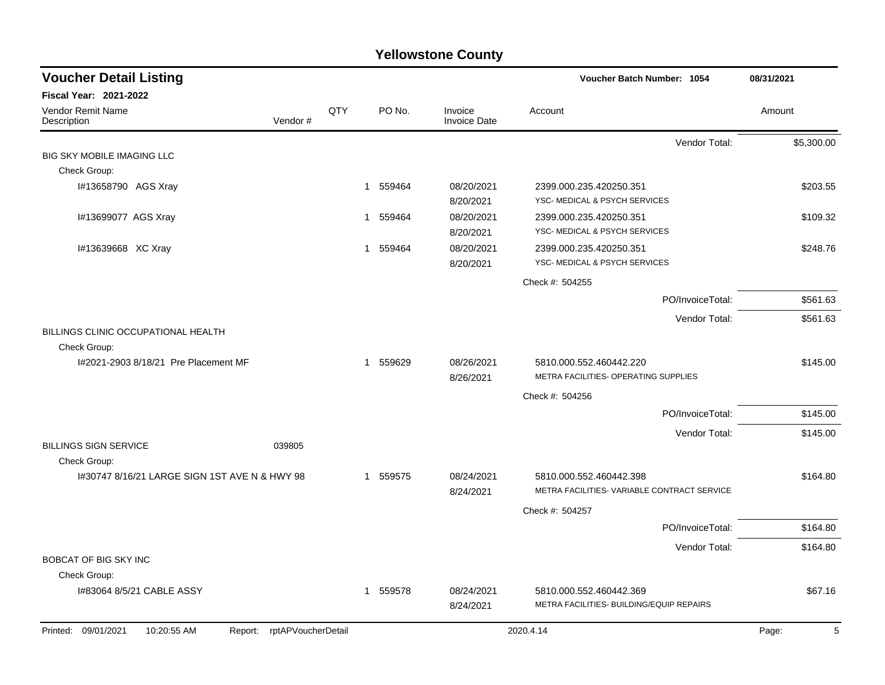| <b>Voucher Detail Listing</b>                                       |     |          |                                | Voucher Batch Number: 1054                                             | 08/31/2021 |
|---------------------------------------------------------------------|-----|----------|--------------------------------|------------------------------------------------------------------------|------------|
| Fiscal Year: 2021-2022                                              |     |          |                                |                                                                        |            |
| Vendor Remit Name<br>Vendor#<br>Description                         | QTY | PO No.   | Invoice<br><b>Invoice Date</b> | Account                                                                | Amount     |
|                                                                     |     |          |                                | Vendor Total:                                                          | \$5,300.00 |
| <b>BIG SKY MOBILE IMAGING LLC</b>                                   |     |          |                                |                                                                        |            |
| Check Group:                                                        |     |          |                                |                                                                        |            |
| I#13658790 AGS Xray                                                 |     | 1 559464 | 08/20/2021<br>8/20/2021        | 2399.000.235.420250.351<br>YSC- MEDICAL & PSYCH SERVICES               | \$203.55   |
| I#13699077 AGS Xray                                                 |     | 1 559464 | 08/20/2021<br>8/20/2021        | 2399.000.235.420250.351<br>YSC- MEDICAL & PSYCH SERVICES               | \$109.32   |
| I#13639668 XC Xray                                                  |     | 1 559464 | 08/20/2021                     | 2399.000.235.420250.351                                                | \$248.76   |
|                                                                     |     |          | 8/20/2021                      | YSC- MEDICAL & PSYCH SERVICES                                          |            |
|                                                                     |     |          |                                | Check #: 504255                                                        |            |
|                                                                     |     |          |                                | PO/InvoiceTotal:                                                       | \$561.63   |
|                                                                     |     |          |                                | Vendor Total:                                                          | \$561.63   |
| BILLINGS CLINIC OCCUPATIONAL HEALTH<br>Check Group:                 |     |          |                                |                                                                        |            |
| I#2021-2903 8/18/21 Pre Placement MF                                |     | 1 559629 | 08/26/2021<br>8/26/2021        | 5810.000.552.460442.220<br>METRA FACILITIES- OPERATING SUPPLIES        | \$145.00   |
|                                                                     |     |          |                                | Check #: 504256                                                        |            |
|                                                                     |     |          |                                | PO/InvoiceTotal:                                                       | \$145.00   |
|                                                                     |     |          |                                | Vendor Total:                                                          | \$145.00   |
| <b>BILLINGS SIGN SERVICE</b><br>039805                              |     |          |                                |                                                                        |            |
| Check Group:                                                        |     |          |                                |                                                                        |            |
| 1#30747 8/16/21 LARGE SIGN 1ST AVE N & HWY 98                       |     | 1 559575 | 08/24/2021<br>8/24/2021        | 5810.000.552.460442.398<br>METRA FACILITIES- VARIABLE CONTRACT SERVICE | \$164.80   |
|                                                                     |     |          |                                | Check #: 504257                                                        |            |
|                                                                     |     |          |                                | PO/InvoiceTotal:                                                       | \$164.80   |
|                                                                     |     |          |                                | Vendor Total:                                                          | \$164.80   |
| BOBCAT OF BIG SKY INC                                               |     |          |                                |                                                                        |            |
| Check Group:                                                        |     |          |                                |                                                                        |            |
| 1#83064 8/5/21 CABLE ASSY                                           |     | 1 559578 | 08/24/2021<br>8/24/2021        | 5810.000.552.460442.369<br>METRA FACILITIES- BUILDING/EQUIP REPAIRS    | \$67.16    |
| rptAPVoucherDetail<br>Printed: 09/01/2021<br>10:20:55 AM<br>Report: |     |          |                                | 2020.4.14                                                              | 5<br>Page: |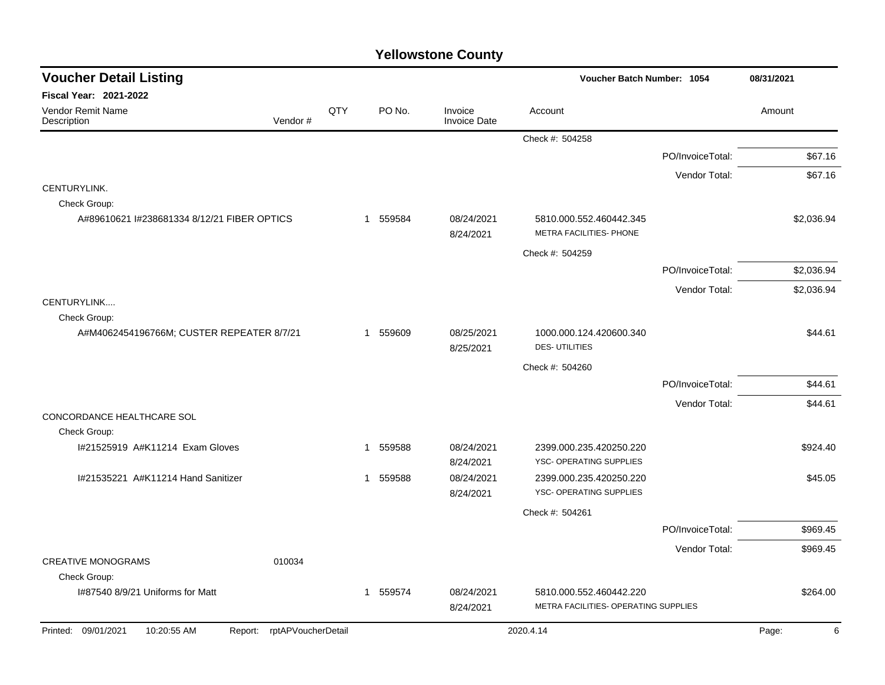| <b>Voucher Detail Listing</b>                                       |     |             |                                | Voucher Batch Number: 1054                                      | 08/31/2021       |            |
|---------------------------------------------------------------------|-----|-------------|--------------------------------|-----------------------------------------------------------------|------------------|------------|
| <b>Fiscal Year: 2021-2022</b>                                       |     |             |                                |                                                                 |                  |            |
| <b>Vendor Remit Name</b><br>Description<br>Vendor#                  | QTY | PO No.      | Invoice<br><b>Invoice Date</b> | Account                                                         |                  | Amount     |
|                                                                     |     |             |                                | Check #: 504258                                                 |                  |            |
|                                                                     |     |             |                                |                                                                 | PO/InvoiceTotal: | \$67.16    |
|                                                                     |     |             |                                |                                                                 | Vendor Total:    | \$67.16    |
| CENTURYLINK.                                                        |     |             |                                |                                                                 |                  |            |
| Check Group:<br>A#89610621 I#238681334 8/12/21 FIBER OPTICS         |     | 1 559584    | 08/24/2021<br>8/24/2021        | 5810.000.552.460442.345<br>METRA FACILITIES- PHONE              |                  | \$2,036.94 |
|                                                                     |     |             |                                | Check #: 504259                                                 |                  |            |
|                                                                     |     |             |                                |                                                                 | PO/InvoiceTotal: | \$2,036.94 |
|                                                                     |     |             |                                |                                                                 | Vendor Total:    | \$2,036.94 |
| CENTURYLINK<br>Check Group:                                         |     |             |                                |                                                                 |                  |            |
| A#M4062454196766M; CUSTER REPEATER 8/7/21                           |     | 1 559609    | 08/25/2021<br>8/25/2021        | 1000.000.124.420600.340<br><b>DES-UTILITIES</b>                 |                  | \$44.61    |
|                                                                     |     |             |                                | Check #: 504260                                                 |                  |            |
|                                                                     |     |             |                                |                                                                 | PO/InvoiceTotal: | \$44.61    |
|                                                                     |     |             |                                |                                                                 | Vendor Total:    | \$44.61    |
| CONCORDANCE HEALTHCARE SOL<br>Check Group:                          |     |             |                                |                                                                 |                  |            |
| I#21525919 A#K11214 Exam Gloves                                     |     | 559588<br>1 | 08/24/2021<br>8/24/2021        | 2399.000.235.420250.220<br>YSC- OPERATING SUPPLIES              |                  | \$924.40   |
| 1#21535221 A#K11214 Hand Sanitizer                                  |     | 1 559588    | 08/24/2021<br>8/24/2021        | 2399.000.235.420250.220<br>YSC- OPERATING SUPPLIES              |                  | \$45.05    |
|                                                                     |     |             |                                | Check #: 504261                                                 |                  |            |
|                                                                     |     |             |                                |                                                                 | PO/InvoiceTotal: | \$969.45   |
|                                                                     |     |             |                                |                                                                 | Vendor Total:    | \$969.45   |
| <b>CREATIVE MONOGRAMS</b><br>010034<br>Check Group:                 |     |             |                                |                                                                 |                  |            |
| I#87540 8/9/21 Uniforms for Matt                                    |     | 1 559574    | 08/24/2021<br>8/24/2021        | 5810.000.552.460442.220<br>METRA FACILITIES- OPERATING SUPPLIES |                  | \$264.00   |
| Printed: 09/01/2021<br>10:20:55 AM<br>rptAPVoucherDetail<br>Report: |     |             |                                | 2020.4.14                                                       |                  | Page:<br>6 |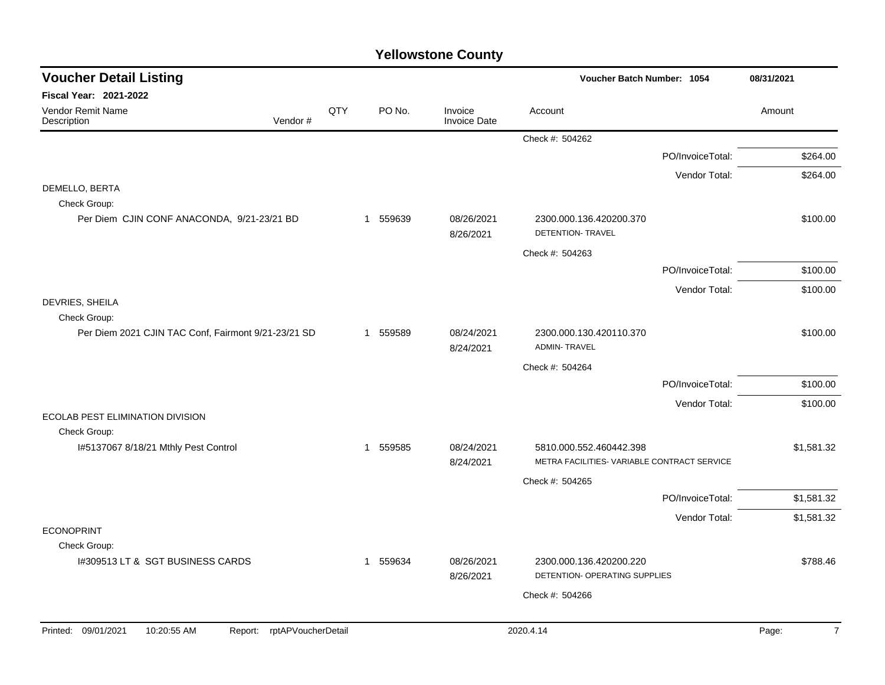| <b>Voucher Detail Listing</b>                                       |     |                        | Voucher Batch Number: 1054     | 08/31/2021                                                             |                  |                         |
|---------------------------------------------------------------------|-----|------------------------|--------------------------------|------------------------------------------------------------------------|------------------|-------------------------|
| Fiscal Year: 2021-2022                                              |     |                        |                                |                                                                        |                  |                         |
| Vendor Remit Name<br>Vendor#<br>Description                         | QTY | PO No.                 | Invoice<br><b>Invoice Date</b> | Account                                                                |                  | Amount                  |
|                                                                     |     |                        |                                | Check #: 504262                                                        |                  |                         |
|                                                                     |     |                        |                                |                                                                        | PO/InvoiceTotal: | \$264.00                |
|                                                                     |     |                        |                                |                                                                        | Vendor Total:    | \$264.00                |
| DEMELLO, BERTA<br>Check Group:                                      |     |                        |                                |                                                                        |                  |                         |
| Per Diem CJIN CONF ANACONDA, 9/21-23/21 BD                          |     | 559639<br>$\mathbf{1}$ | 08/26/2021<br>8/26/2021        | 2300.000.136.420200.370<br>DETENTION- TRAVEL                           |                  | \$100.00                |
|                                                                     |     |                        |                                | Check #: 504263                                                        |                  |                         |
|                                                                     |     |                        |                                |                                                                        | PO/InvoiceTotal: | \$100.00                |
|                                                                     |     |                        |                                |                                                                        | Vendor Total:    | \$100.00                |
| DEVRIES, SHEILA<br>Check Group:                                     |     |                        |                                |                                                                        |                  |                         |
| Per Diem 2021 CJIN TAC Conf, Fairmont 9/21-23/21 SD                 |     | 1 559589               | 08/24/2021<br>8/24/2021        | 2300.000.130.420110.370<br><b>ADMIN-TRAVEL</b>                         |                  | \$100.00                |
|                                                                     |     |                        |                                | Check #: 504264                                                        |                  |                         |
|                                                                     |     |                        |                                |                                                                        | PO/InvoiceTotal: | \$100.00                |
|                                                                     |     |                        |                                |                                                                        | Vendor Total:    | \$100.00                |
| ECOLAB PEST ELIMINATION DIVISION                                    |     |                        |                                |                                                                        |                  |                         |
| Check Group:                                                        |     |                        |                                |                                                                        |                  |                         |
| I#5137067 8/18/21 Mthly Pest Control                                |     | 559585<br>$\mathbf 1$  | 08/24/2021<br>8/24/2021        | 5810.000.552.460442.398<br>METRA FACILITIES- VARIABLE CONTRACT SERVICE |                  | \$1,581.32              |
|                                                                     |     |                        |                                | Check #: 504265                                                        |                  |                         |
|                                                                     |     |                        |                                |                                                                        | PO/InvoiceTotal: | \$1,581.32              |
|                                                                     |     |                        |                                |                                                                        | Vendor Total:    | \$1,581.32              |
| <b>ECONOPRINT</b>                                                   |     |                        |                                |                                                                        |                  |                         |
| Check Group:<br>1#309513 LT & SGT BUSINESS CARDS                    |     | 559634<br>1            | 08/26/2021                     | 2300.000.136.420200.220                                                |                  | \$788.46                |
|                                                                     |     |                        | 8/26/2021                      | DETENTION- OPERATING SUPPLIES                                          |                  |                         |
|                                                                     |     |                        |                                | Check #: 504266                                                        |                  |                         |
|                                                                     |     |                        |                                |                                                                        |                  |                         |
| Printed: 09/01/2021<br>10:20:55 AM<br>rptAPVoucherDetail<br>Report: |     |                        |                                | 2020.4.14                                                              |                  | Page:<br>$\overline{7}$ |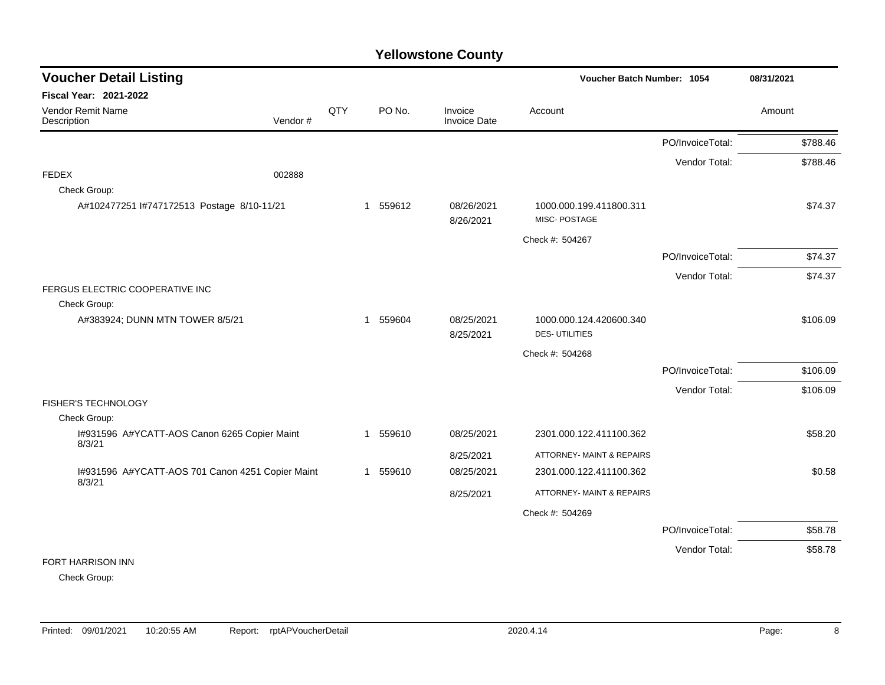| <b>Voucher Detail Listing</b>                          |         | Voucher Batch Number: 1054 |          |                                |                                         |                  |          |
|--------------------------------------------------------|---------|----------------------------|----------|--------------------------------|-----------------------------------------|------------------|----------|
| <b>Fiscal Year: 2021-2022</b>                          |         |                            |          |                                |                                         |                  |          |
| Vendor Remit Name<br>Description                       | Vendor# | QTY                        | PO No.   | Invoice<br><b>Invoice Date</b> | Account                                 |                  | Amount   |
|                                                        |         |                            |          |                                |                                         | PO/InvoiceTotal: | \$788.46 |
|                                                        |         |                            |          |                                |                                         | Vendor Total:    | \$788.46 |
| <b>FEDEX</b>                                           | 002888  |                            |          |                                |                                         |                  |          |
| Check Group:                                           |         |                            |          |                                |                                         |                  |          |
| A#102477251 l#747172513 Postage 8/10-11/21             |         |                            | 1 559612 | 08/26/2021                     | 1000.000.199.411800.311<br>MISC-POSTAGE |                  | \$74.37  |
|                                                        |         |                            |          | 8/26/2021                      |                                         |                  |          |
|                                                        |         |                            |          |                                | Check #: 504267                         |                  |          |
|                                                        |         |                            |          |                                |                                         | PO/InvoiceTotal: | \$74.37  |
|                                                        |         |                            |          |                                |                                         | Vendor Total:    | \$74.37  |
| FERGUS ELECTRIC COOPERATIVE INC                        |         |                            |          |                                |                                         |                  |          |
| Check Group:                                           |         |                            |          |                                |                                         |                  |          |
| A#383924; DUNN MTN TOWER 8/5/21                        |         |                            | 1 559604 | 08/25/2021                     | 1000.000.124.420600.340                 |                  | \$106.09 |
|                                                        |         |                            |          | 8/25/2021                      | <b>DES-UTILITIES</b>                    |                  |          |
|                                                        |         |                            |          |                                | Check #: 504268                         |                  |          |
|                                                        |         |                            |          |                                |                                         | PO/InvoiceTotal: | \$106.09 |
|                                                        |         |                            |          |                                |                                         | Vendor Total:    | \$106.09 |
| FISHER'S TECHNOLOGY                                    |         |                            |          |                                |                                         |                  |          |
| Check Group:                                           |         |                            |          |                                |                                         |                  |          |
| I#931596 A#YCATT-AOS Canon 6265 Copier Maint<br>8/3/21 |         |                            | 1 559610 | 08/25/2021                     | 2301.000.122.411100.362                 |                  | \$58.20  |
|                                                        |         |                            |          | 8/25/2021                      | ATTORNEY- MAINT & REPAIRS               |                  |          |
| I#931596 A#YCATT-AOS 701 Canon 4251 Copier Maint       |         |                            | 1 559610 | 08/25/2021                     | 2301.000.122.411100.362                 |                  | \$0.58   |
| 8/3/21                                                 |         |                            |          | 8/25/2021                      | ATTORNEY- MAINT & REPAIRS               |                  |          |
|                                                        |         |                            |          |                                | Check #: 504269                         |                  |          |
|                                                        |         |                            |          |                                |                                         | PO/InvoiceTotal: | \$58.78  |
|                                                        |         |                            |          |                                |                                         | Vendor Total:    | \$58.78  |
| FORT HARRISON INN                                      |         |                            |          |                                |                                         |                  |          |

Check Group: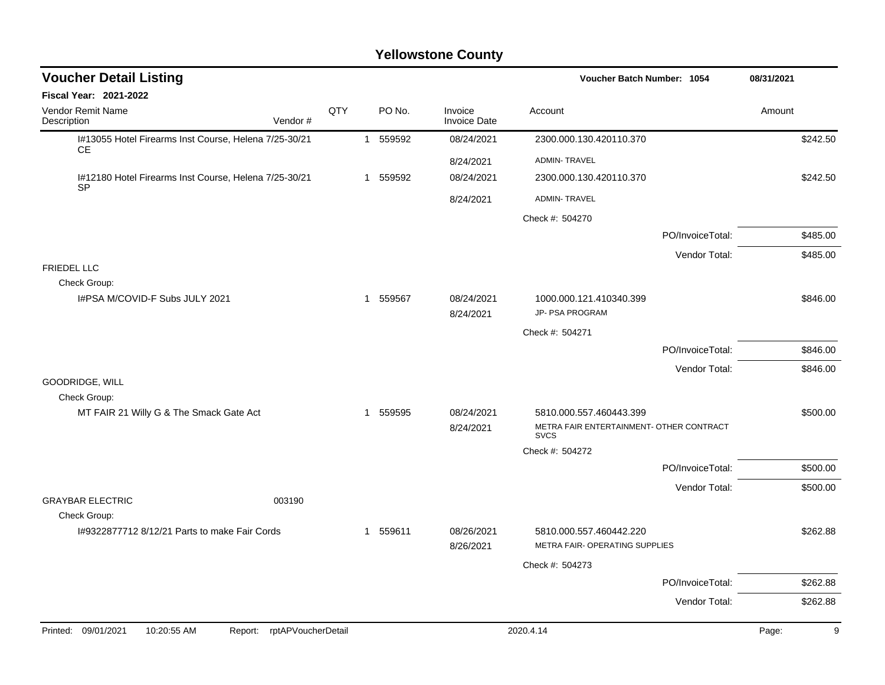| <b>Voucher Detail Listing</b>                                      |     |          |                                | Voucher Batch Number: 1054                              | 08/31/2021       |        |          |
|--------------------------------------------------------------------|-----|----------|--------------------------------|---------------------------------------------------------|------------------|--------|----------|
| Fiscal Year: 2021-2022                                             |     |          |                                |                                                         |                  |        |          |
| Vendor Remit Name<br>Description<br>Vendor#                        | QTY | PO No.   | Invoice<br><b>Invoice Date</b> | Account                                                 |                  | Amount |          |
| I#13055 Hotel Firearms Inst Course, Helena 7/25-30/21<br>CE.       |     | 1 559592 | 08/24/2021                     | 2300.000.130.420110.370                                 |                  |        | \$242.50 |
|                                                                    |     |          | 8/24/2021                      | <b>ADMIN-TRAVEL</b>                                     |                  |        |          |
| I#12180 Hotel Firearms Inst Course, Helena 7/25-30/21<br><b>SP</b> |     | 1 559592 | 08/24/2021                     | 2300.000.130.420110.370                                 |                  |        | \$242.50 |
|                                                                    |     |          | 8/24/2021                      | <b>ADMIN-TRAVEL</b>                                     |                  |        |          |
|                                                                    |     |          |                                | Check #: 504270                                         |                  |        |          |
|                                                                    |     |          |                                |                                                         | PO/InvoiceTotal: |        | \$485.00 |
|                                                                    |     |          |                                |                                                         | Vendor Total:    |        | \$485.00 |
| FRIEDEL LLC<br>Check Group:                                        |     |          |                                |                                                         |                  |        |          |
| I#PSA M/COVID-F Subs JULY 2021                                     |     | 1 559567 | 08/24/2021                     | 1000.000.121.410340.399                                 |                  |        | \$846.00 |
|                                                                    |     |          | 8/24/2021                      | JP- PSA PROGRAM                                         |                  |        |          |
|                                                                    |     |          |                                | Check #: 504271                                         |                  |        |          |
|                                                                    |     |          |                                |                                                         | PO/InvoiceTotal: |        | \$846.00 |
| GOODRIDGE, WILL                                                    |     |          |                                |                                                         | Vendor Total:    |        | \$846.00 |
| Check Group:                                                       |     |          |                                |                                                         |                  |        |          |
| MT FAIR 21 Willy G & The Smack Gate Act                            |     | 1 559595 | 08/24/2021                     | 5810.000.557.460443.399                                 |                  |        | \$500.00 |
|                                                                    |     |          | 8/24/2021                      | METRA FAIR ENTERTAINMENT- OTHER CONTRACT<br><b>SVCS</b> |                  |        |          |
|                                                                    |     |          |                                | Check #: 504272                                         |                  |        |          |
|                                                                    |     |          |                                |                                                         | PO/InvoiceTotal: |        | \$500.00 |
| 003190                                                             |     |          |                                |                                                         | Vendor Total:    |        | \$500.00 |
| <b>GRAYBAR ELECTRIC</b><br>Check Group:                            |     |          |                                |                                                         |                  |        |          |
| 1#9322877712 8/12/21 Parts to make Fair Cords                      |     | 1 559611 | 08/26/2021                     | 5810.000.557.460442.220                                 |                  |        | \$262.88 |
|                                                                    |     |          | 8/26/2021                      | METRA FAIR- OPERATING SUPPLIES                          |                  |        |          |
|                                                                    |     |          |                                | Check #: 504273                                         |                  |        |          |
|                                                                    |     |          |                                |                                                         | PO/InvoiceTotal: |        | \$262.88 |
|                                                                    |     |          |                                |                                                         | Vendor Total:    |        | \$262.88 |
| Printed: 09/01/2021<br>Report: rptAPVoucherDetail<br>10:20:55 AM   |     |          |                                | 2020.4.14                                               |                  | Page:  | 9        |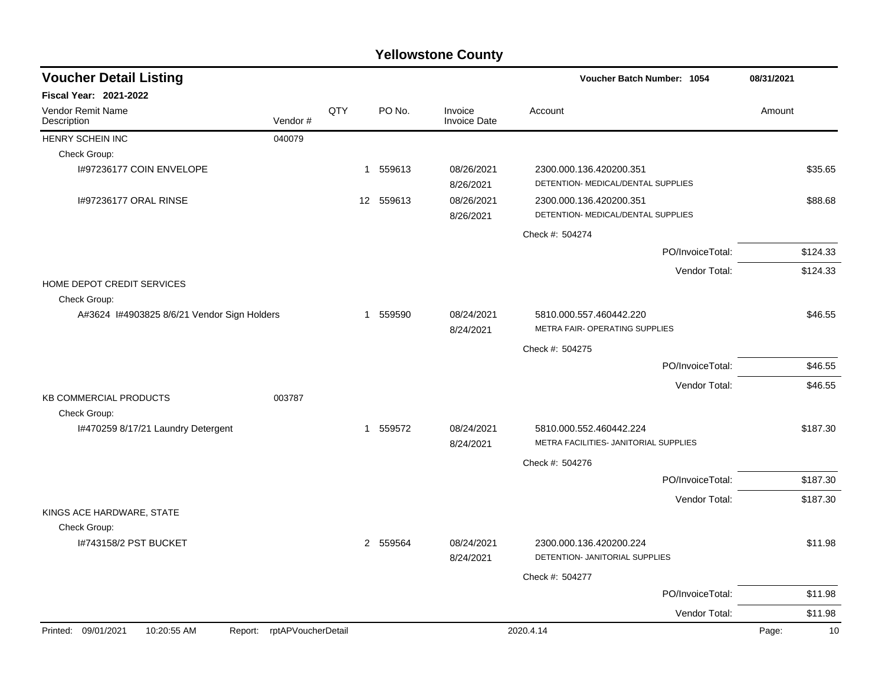| <b>Voucher Detail Listing</b>                 |                    |     |           |                                | Voucher Batch Number: 1054                                    |                  | 08/31/2021  |
|-----------------------------------------------|--------------------|-----|-----------|--------------------------------|---------------------------------------------------------------|------------------|-------------|
| <b>Fiscal Year: 2021-2022</b>                 |                    |     |           |                                |                                                               |                  |             |
| Vendor Remit Name<br>Description              | Vendor#            | QTY | PO No.    | Invoice<br><b>Invoice Date</b> | Account                                                       |                  | Amount      |
| HENRY SCHEIN INC                              | 040079             |     |           |                                |                                                               |                  |             |
| Check Group:                                  |                    |     |           |                                |                                                               |                  |             |
| I#97236177 COIN ENVELOPE                      |                    |     | 1 559613  | 08/26/2021<br>8/26/2021        | 2300.000.136.420200.351<br>DETENTION- MEDICAL/DENTAL SUPPLIES |                  | \$35.65     |
| 1#97236177 ORAL RINSE                         |                    |     | 12 559613 | 08/26/2021<br>8/26/2021        | 2300.000.136.420200.351<br>DETENTION- MEDICAL/DENTAL SUPPLIES |                  | \$88.68     |
|                                               |                    |     |           |                                | Check #: 504274                                               |                  |             |
|                                               |                    |     |           |                                |                                                               | PO/InvoiceTotal: | \$124.33    |
|                                               |                    |     |           |                                |                                                               | Vendor Total:    | \$124.33    |
| HOME DEPOT CREDIT SERVICES<br>Check Group:    |                    |     |           |                                |                                                               |                  |             |
| A#3624 I#4903825 8/6/21 Vendor Sign Holders   |                    |     | 1 559590  | 08/24/2021<br>8/24/2021        | 5810.000.557.460442.220<br>METRA FAIR- OPERATING SUPPLIES     |                  | \$46.55     |
|                                               |                    |     |           |                                | Check #: 504275                                               |                  |             |
|                                               |                    |     |           |                                |                                                               | PO/InvoiceTotal: | \$46.55     |
|                                               |                    |     |           |                                |                                                               | Vendor Total:    | \$46.55     |
| KB COMMERCIAL PRODUCTS                        | 003787             |     |           |                                |                                                               |                  |             |
| Check Group:                                  |                    |     |           |                                |                                                               |                  |             |
| I#470259 8/17/21 Laundry Detergent            |                    |     | 1 559572  | 08/24/2021                     | 5810.000.552.460442.224                                       |                  | \$187.30    |
|                                               |                    |     |           | 8/24/2021                      | METRA FACILITIES- JANITORIAL SUPPLIES                         |                  |             |
|                                               |                    |     |           |                                | Check #: 504276                                               |                  |             |
|                                               |                    |     |           |                                |                                                               | PO/InvoiceTotal: | \$187.30    |
|                                               |                    |     |           |                                |                                                               | Vendor Total:    | \$187.30    |
| KINGS ACE HARDWARE, STATE                     |                    |     |           |                                |                                                               |                  |             |
| Check Group:                                  |                    |     |           |                                |                                                               |                  |             |
| I#743158/2 PST BUCKET                         |                    |     | 2 559564  | 08/24/2021<br>8/24/2021        | 2300.000.136.420200.224<br>DETENTION- JANITORIAL SUPPLIES     |                  | \$11.98     |
|                                               |                    |     |           |                                | Check #: 504277                                               |                  |             |
|                                               |                    |     |           |                                |                                                               | PO/InvoiceTotal: | \$11.98     |
|                                               |                    |     |           |                                |                                                               | Vendor Total:    | \$11.98     |
| Printed: 09/01/2021<br>10:20:55 AM<br>Report: | rptAPVoucherDetail |     |           |                                | 2020.4.14                                                     |                  | Page:<br>10 |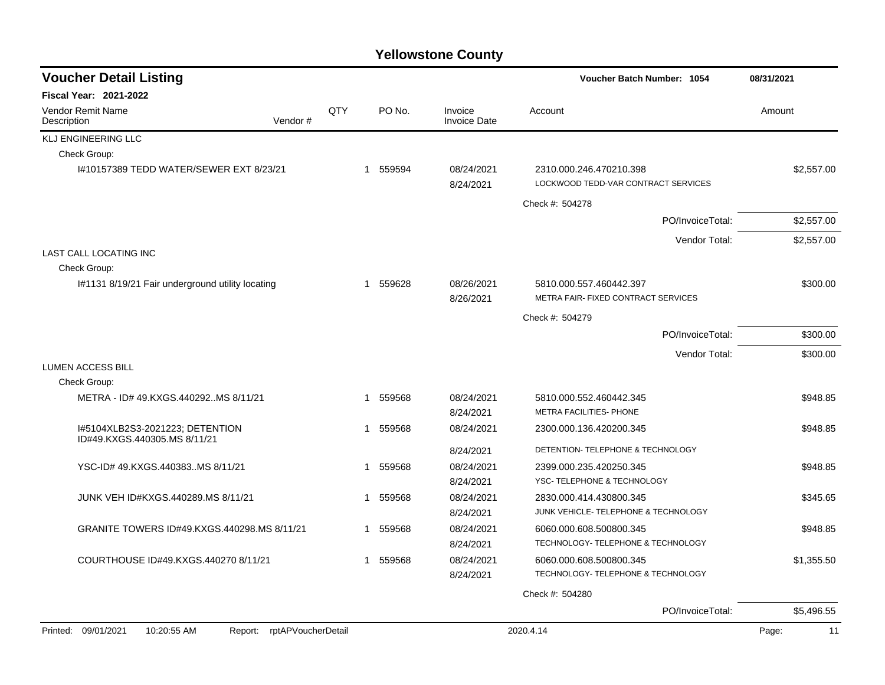| QTY |                                           |                                |                                                                |                                                                                                                                                              |
|-----|-------------------------------------------|--------------------------------|----------------------------------------------------------------|--------------------------------------------------------------------------------------------------------------------------------------------------------------|
|     |                                           |                                |                                                                |                                                                                                                                                              |
|     | PO No.                                    | Invoice<br><b>Invoice Date</b> | Account                                                        | Amount                                                                                                                                                       |
|     |                                           |                                |                                                                |                                                                                                                                                              |
|     |                                           |                                |                                                                |                                                                                                                                                              |
|     |                                           | 08/24/2021<br>8/24/2021        | 2310.000.246.470210.398<br>LOCKWOOD TEDD-VAR CONTRACT SERVICES | \$2,557.00                                                                                                                                                   |
|     |                                           |                                | Check #: 504278                                                |                                                                                                                                                              |
|     |                                           |                                | PO/InvoiceTotal:                                               | \$2,557.00                                                                                                                                                   |
|     |                                           |                                |                                                                | \$2,557.00                                                                                                                                                   |
|     |                                           |                                |                                                                |                                                                                                                                                              |
|     |                                           |                                |                                                                |                                                                                                                                                              |
|     | 559628                                    | 08/26/2021                     | 5810.000.557.460442.397                                        | \$300.00                                                                                                                                                     |
|     |                                           | 8/26/2021                      | METRA FAIR- FIXED CONTRACT SERVICES                            |                                                                                                                                                              |
|     |                                           |                                | Check #: 504279                                                |                                                                                                                                                              |
|     |                                           |                                | PO/InvoiceTotal:                                               | \$300.00                                                                                                                                                     |
|     |                                           |                                | Vendor Total:                                                  | \$300.00                                                                                                                                                     |
|     |                                           |                                |                                                                |                                                                                                                                                              |
|     |                                           |                                |                                                                |                                                                                                                                                              |
|     | 559568                                    | 08/24/2021                     | 5810.000.552.460442.345                                        | \$948.85                                                                                                                                                     |
|     |                                           | 8/24/2021                      |                                                                |                                                                                                                                                              |
| 1   | 559568                                    | 08/24/2021                     | 2300.000.136.420200.345                                        | \$948.85                                                                                                                                                     |
|     |                                           | 8/24/2021                      | DETENTION- TELEPHONE & TECHNOLOGY                              |                                                                                                                                                              |
| 1   | 559568                                    | 08/24/2021                     | 2399.000.235.420250.345                                        | \$948.85                                                                                                                                                     |
|     |                                           | 8/24/2021                      | YSC-TELEPHONE & TECHNOLOGY                                     |                                                                                                                                                              |
| 1   | 559568                                    | 08/24/2021                     | 2830.000.414.430800.345                                        | \$345.65                                                                                                                                                     |
|     |                                           | 8/24/2021                      | JUNK VEHICLE- TELEPHONE & TECHNOLOGY                           |                                                                                                                                                              |
| 1   | 559568                                    | 08/24/2021                     | 6060.000.608.500800.345                                        | \$948.85                                                                                                                                                     |
|     |                                           |                                |                                                                |                                                                                                                                                              |
|     |                                           |                                |                                                                | \$1,355.50                                                                                                                                                   |
|     |                                           |                                |                                                                |                                                                                                                                                              |
|     |                                           |                                | Check #: 504280                                                |                                                                                                                                                              |
|     |                                           |                                | PO/InvoiceTotal:                                               | \$5,496.55                                                                                                                                                   |
|     | 1<br>1<br>1<br>Report: rptAPVoucherDetail | 1 559594<br>559568             | 8/24/2021<br>08/24/2021<br>8/24/2021                           | Vendor Total:<br>METRA FACILITIES- PHONE<br>TECHNOLOGY- TELEPHONE & TECHNOLOGY<br>6060.000.608.500800.345<br>TECHNOLOGY- TELEPHONE & TECHNOLOGY<br>2020.4.14 |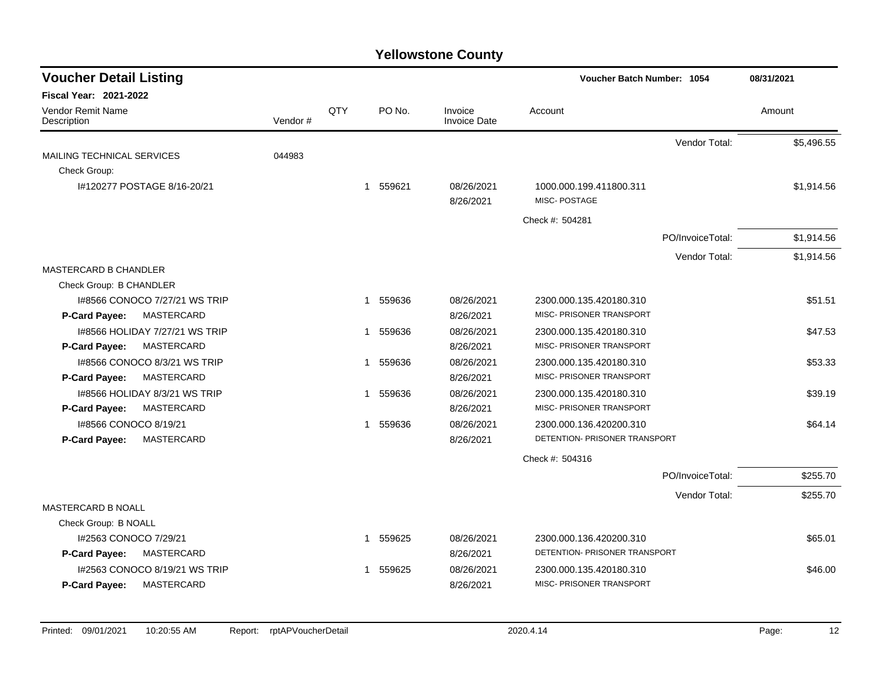| <b>Voucher Detail Listing</b>                               |         |     |                       |                         | Voucher Batch Number: 1054                          |                  | 08/31/2021 |  |
|-------------------------------------------------------------|---------|-----|-----------------------|-------------------------|-----------------------------------------------------|------------------|------------|--|
| <b>Fiscal Year: 2021-2022</b>                               |         |     |                       |                         |                                                     |                  |            |  |
| Vendor Remit Name<br>Description                            | Vendor# | QTY | PO No.                | Invoice<br>Invoice Date | Account                                             |                  | Amount     |  |
|                                                             |         |     |                       |                         |                                                     | Vendor Total:    | \$5,496.55 |  |
| MAILING TECHNICAL SERVICES<br>Check Group:                  | 044983  |     |                       |                         |                                                     |                  |            |  |
| I#120277 POSTAGE 8/16-20/21                                 |         |     | 559621<br>$\mathbf 1$ | 08/26/2021<br>8/26/2021 | 1000.000.199.411800.311<br>MISC-POSTAGE             |                  | \$1,914.56 |  |
|                                                             |         |     |                       |                         | Check #: 504281                                     |                  |            |  |
|                                                             |         |     |                       |                         |                                                     | PO/InvoiceTotal: | \$1,914.56 |  |
|                                                             |         |     |                       |                         |                                                     | Vendor Total:    | \$1,914.56 |  |
| <b>MASTERCARD B CHANDLER</b>                                |         |     |                       |                         |                                                     |                  |            |  |
| Check Group: B CHANDLER                                     |         |     |                       |                         |                                                     |                  |            |  |
| 1#8566 CONOCO 7/27/21 WS TRIP                               |         |     | 559636<br>1           | 08/26/2021              | 2300.000.135.420180.310<br>MISC- PRISONER TRANSPORT |                  | \$51.51    |  |
| MASTERCARD<br>P-Card Payee:                                 |         |     |                       | 8/26/2021               |                                                     |                  |            |  |
| 1#8566 HOLIDAY 7/27/21 WS TRIP<br>MASTERCARD                |         |     | 559636<br>1           | 08/26/2021              | 2300.000.135.420180.310<br>MISC- PRISONER TRANSPORT |                  | \$47.53    |  |
| P-Card Payee:                                               |         |     |                       | 8/26/2021               |                                                     |                  |            |  |
| 1#8566 CONOCO 8/3/21 WS TRIP<br>P-Card Payee:<br>MASTERCARD |         |     | 559636<br>1           | 08/26/2021<br>8/26/2021 | 2300.000.135.420180.310<br>MISC- PRISONER TRANSPORT |                  | \$53.33    |  |
| 1#8566 HOLIDAY 8/3/21 WS TRIP                               |         |     | 559636<br>1           | 08/26/2021              | 2300.000.135.420180.310                             |                  | \$39.19    |  |
| MASTERCARD<br>P-Card Payee:                                 |         |     |                       | 8/26/2021               | MISC- PRISONER TRANSPORT                            |                  |            |  |
| I#8566 CONOCO 8/19/21                                       |         |     | 559636<br>1           | 08/26/2021              | 2300.000.136.420200.310                             |                  | \$64.14    |  |
| MASTERCARD<br>P-Card Payee:                                 |         |     |                       | 8/26/2021               | DETENTION- PRISONER TRANSPORT                       |                  |            |  |
|                                                             |         |     |                       |                         | Check #: 504316                                     |                  |            |  |
|                                                             |         |     |                       |                         |                                                     | PO/InvoiceTotal: | \$255.70   |  |
|                                                             |         |     |                       |                         |                                                     | Vendor Total:    | \$255.70   |  |
| <b>MASTERCARD B NOALL</b>                                   |         |     |                       |                         |                                                     |                  |            |  |
| Check Group: B NOALL                                        |         |     |                       |                         |                                                     |                  |            |  |
| I#2563 CONOCO 7/29/21                                       |         |     | 1 559625              | 08/26/2021              | 2300.000.136.420200.310                             |                  | \$65.01    |  |
| MASTERCARD<br>P-Card Payee:                                 |         |     |                       | 8/26/2021               | DETENTION- PRISONER TRANSPORT                       |                  |            |  |
| I#2563 CONOCO 8/19/21 WS TRIP                               |         |     | 559625<br>1           | 08/26/2021              | 2300.000.135.420180.310                             |                  | \$46.00    |  |
| MASTERCARD<br>P-Card Payee:                                 |         |     |                       | 8/26/2021               | MISC- PRISONER TRANSPORT                            |                  |            |  |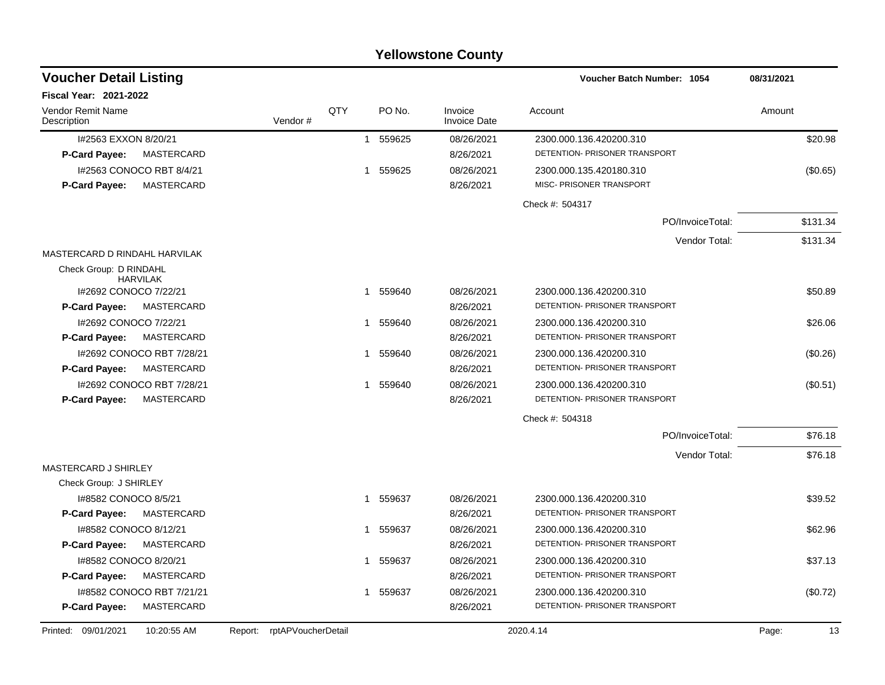### I#2563 EXXON 8/20/21 1 559625 08/26/2021 2300.000.136.420200.310 \$20.98 **P-Card Payee:** MASTERCARD 8/26/2021 DETENTION- PRISONER TRANSPORT I#2563 CONOCO RBT 8/4/21 1 559625 08/26/2021 2300.000.135.420180.310 (\$0.65) **P-Card Payee:** MASTERCARD 8/26/2021 MISC- PRISONER TRANSPORT Check #: 504317 PO/InvoiceTotal: \$131.34 Vendor Total: \$131.34 MASTERCARD D RINDAHL HARVILAK Check Group: D RINDAHL HARVILAK **Voucher Batch Number: Voucher Detail Listing** PO No. Invoice Account Amount Amount Amount Amount Vendor # **QTY** Invoice Date

| Printed: 09/01/2021    | 10:20:55 AM               | Report: rptAPVoucherDetail |    |        |            | 2020.4.14                     | Page: | 13       |
|------------------------|---------------------------|----------------------------|----|--------|------------|-------------------------------|-------|----------|
| P-Card Payee:          | <b>MASTERCARD</b>         |                            |    |        | 8/26/2021  | DETENTION- PRISONER TRANSPORT |       |          |
|                        | 1#8582 CONOCO RBT 7/21/21 |                            |    | 559637 | 08/26/2021 | 2300.000.136.420200.310       |       | (\$0.72) |
| <b>P-Card Payee:</b>   | <b>MASTERCARD</b>         |                            |    |        | 8/26/2021  | DETENTION- PRISONER TRANSPORT |       |          |
|                        | 1#8582 CONOCO 8/20/21     |                            | -1 | 559637 | 08/26/2021 | 2300.000.136.420200.310       |       | \$37.13  |
| <b>P-Card Payee:</b>   | MASTERCARD                |                            |    |        | 8/26/2021  | DETENTION- PRISONER TRANSPORT |       |          |
|                        | 1#8582 CONOCO 8/12/21     |                            |    | 559637 | 08/26/2021 | 2300.000.136.420200.310       |       | \$62.96  |
| <b>P-Card Payee:</b>   | MASTERCARD                |                            |    |        | 8/26/2021  | DETENTION- PRISONER TRANSPORT |       |          |
| 1#8582 CONOCO 8/5/21   |                           |                            |    | 559637 | 08/26/2021 | 2300.000.136.420200.310       |       | \$39.52  |
| Check Group: J SHIRLEY |                           |                            |    |        |            |                               |       |          |
| MASTERCARD J SHIRLEY   |                           |                            |    |        |            |                               |       |          |
|                        |                           |                            |    |        |            | Vendor Total:                 |       | \$76.18  |
|                        |                           |                            |    |        |            | PO/InvoiceTotal:              |       | \$76.18  |
|                        |                           |                            |    |        |            | Check #: 504318               |       |          |
| <b>P-Card Payee:</b>   | <b>MASTERCARD</b>         |                            |    |        | 8/26/2021  | DETENTION- PRISONER TRANSPORT |       |          |
|                        | 1#2692 CONOCO RBT 7/28/21 |                            |    | 559640 | 08/26/2021 | 2300.000.136.420200.310       |       | (S0.51)  |
| <b>P-Card Payee:</b>   | MASTERCARD                |                            |    |        | 8/26/2021  | DETENTION- PRISONER TRANSPORT |       |          |
|                        | 1#2692 CONOCO RBT 7/28/21 |                            |    | 559640 | 08/26/2021 | 2300.000.136.420200.310       |       | (\$0.26) |
| <b>P-Card Payee:</b>   | MASTERCARD                |                            |    |        | 8/26/2021  | DETENTION- PRISONER TRANSPORT |       |          |
|                        | I#2692 CONOCO 7/22/21     |                            |    | 559640 | 08/26/2021 | 2300.000.136.420200.310       |       | \$26.06  |
| <b>P-Card Payee:</b>   | MASTERCARD                |                            |    |        | 8/26/2021  | DETENTION- PRISONER TRANSPORT |       |          |
|                        | I#2692 CONOCO 7/22/21     |                            |    | 559640 | 08/26/2021 | 2300.000.136.420200.310       |       | \$50.89  |

**Yellowstone County**

**1054 08/31/2021**

Vendor Remit Name

**Fiscal Year: 2021-2022**

**Description**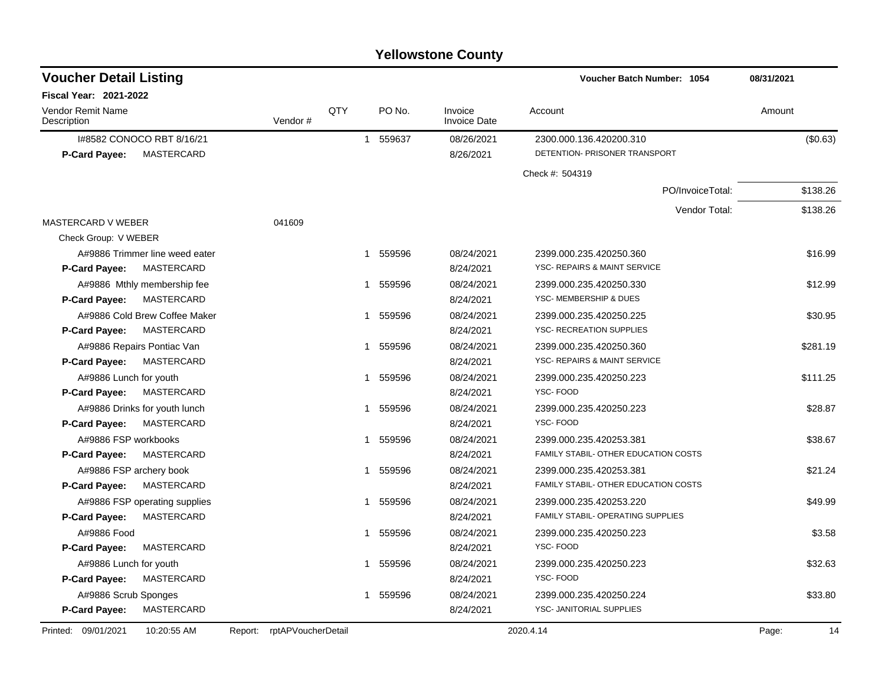| <b>Voucher Detail Listing</b>             |                               |     |                        |                                | Voucher Batch Number: 1054           | 08/31/2021  |
|-------------------------------------------|-------------------------------|-----|------------------------|--------------------------------|--------------------------------------|-------------|
| <b>Fiscal Year: 2021-2022</b>             |                               |     |                        |                                |                                      |             |
| <b>Vendor Remit Name</b><br>Description   | Vendor#                       | QTY | PO No.                 | Invoice<br><b>Invoice Date</b> | Account                              | Amount      |
| I#8582 CONOCO RBT 8/16/21                 |                               |     | 559637<br>$\mathbf{1}$ | 08/26/2021                     | 2300.000.136.420200.310              | (\$0.63)    |
| MASTERCARD<br><b>P-Card Payee:</b>        |                               |     |                        | 8/26/2021                      | DETENTION- PRISONER TRANSPORT        |             |
|                                           |                               |     |                        |                                | Check #: 504319                      |             |
|                                           |                               |     |                        |                                | PO/InvoiceTotal:                     | \$138.26    |
|                                           |                               |     |                        |                                | Vendor Total:                        | \$138.26    |
| MASTERCARD V WEBER                        | 041609                        |     |                        |                                |                                      |             |
| Check Group: V WEBER                      |                               |     |                        |                                |                                      |             |
| A#9886 Trimmer line weed eater            |                               |     | 559596<br>$\mathbf{1}$ | 08/24/2021                     | 2399.000.235.420250.360              | \$16.99     |
| <b>MASTERCARD</b><br><b>P-Card Payee:</b> |                               |     |                        | 8/24/2021                      | YSC- REPAIRS & MAINT SERVICE         |             |
| A#9886 Mthly membership fee               |                               |     | 559596<br>1            | 08/24/2021                     | 2399.000.235.420250.330              | \$12.99     |
| P-Card Payee:<br><b>MASTERCARD</b>        |                               |     |                        | 8/24/2021                      | YSC- MEMBERSHIP & DUES               |             |
| A#9886 Cold Brew Coffee Maker             |                               |     | 559596<br>$\mathbf{1}$ | 08/24/2021                     | 2399.000.235.420250.225              | \$30.95     |
| <b>MASTERCARD</b><br><b>P-Card Payee:</b> |                               |     |                        | 8/24/2021                      | YSC- RECREATION SUPPLIES             |             |
| A#9886 Repairs Pontiac Van                |                               |     | 559596<br>$\mathbf{1}$ | 08/24/2021                     | 2399.000.235.420250.360              | \$281.19    |
| <b>MASTERCARD</b><br><b>P-Card Payee:</b> |                               |     |                        | 8/24/2021                      | YSC- REPAIRS & MAINT SERVICE         |             |
| A#9886 Lunch for youth                    |                               |     | 559596                 | 08/24/2021                     | 2399.000.235.420250.223              | \$111.25    |
| P-Card Payee:<br>MASTERCARD               |                               |     |                        | 8/24/2021                      | YSC-FOOD                             |             |
| A#9886 Drinks for youth lunch             |                               |     | 559596<br>1            | 08/24/2021                     | 2399.000.235.420250.223              | \$28.87     |
| MASTERCARD<br><b>P-Card Payee:</b>        |                               |     |                        | 8/24/2021                      | YSC-FOOD                             |             |
| A#9886 FSP workbooks                      |                               |     | 559596<br>1            | 08/24/2021                     | 2399.000.235.420253.381              | \$38.67     |
| MASTERCARD<br><b>P-Card Payee:</b>        |                               |     |                        | 8/24/2021                      | FAMILY STABIL- OTHER EDUCATION COSTS |             |
| A#9886 FSP archery book                   |                               |     | 559596<br>$\mathbf{1}$ | 08/24/2021                     | 2399.000.235.420253.381              | \$21.24     |
| MASTERCARD<br><b>P-Card Payee:</b>        |                               |     |                        | 8/24/2021                      | FAMILY STABIL- OTHER EDUCATION COSTS |             |
| A#9886 FSP operating supplies             |                               |     | 559596<br>1.           | 08/24/2021                     | 2399.000.235.420253.220              | \$49.99     |
| <b>MASTERCARD</b><br>P-Card Payee:        |                               |     |                        | 8/24/2021                      | FAMILY STABIL- OPERATING SUPPLIES    |             |
| A#9886 Food                               |                               |     | 559596                 | 08/24/2021                     | 2399.000.235.420250.223              | \$3.58      |
| P-Card Payee:<br>MASTERCARD               |                               |     |                        | 8/24/2021                      | YSC-FOOD                             |             |
| A#9886 Lunch for youth                    |                               |     | 559596<br>1            | 08/24/2021                     | 2399.000.235.420250.223              | \$32.63     |
| MASTERCARD<br><b>P-Card Payee:</b>        |                               |     |                        | 8/24/2021                      | YSC-FOOD                             |             |
| A#9886 Scrub Sponges                      |                               |     | 559596<br>1            | 08/24/2021                     | 2399.000.235.420250.224              | \$33.80     |
| P-Card Payee:<br>MASTERCARD               |                               |     |                        | 8/24/2021                      | YSC- JANITORIAL SUPPLIES             |             |
| Printed: 09/01/2021<br>10:20:55 AM        | rptAPVoucherDetail<br>Report: |     |                        |                                | 2020.4.14                            | Page:<br>14 |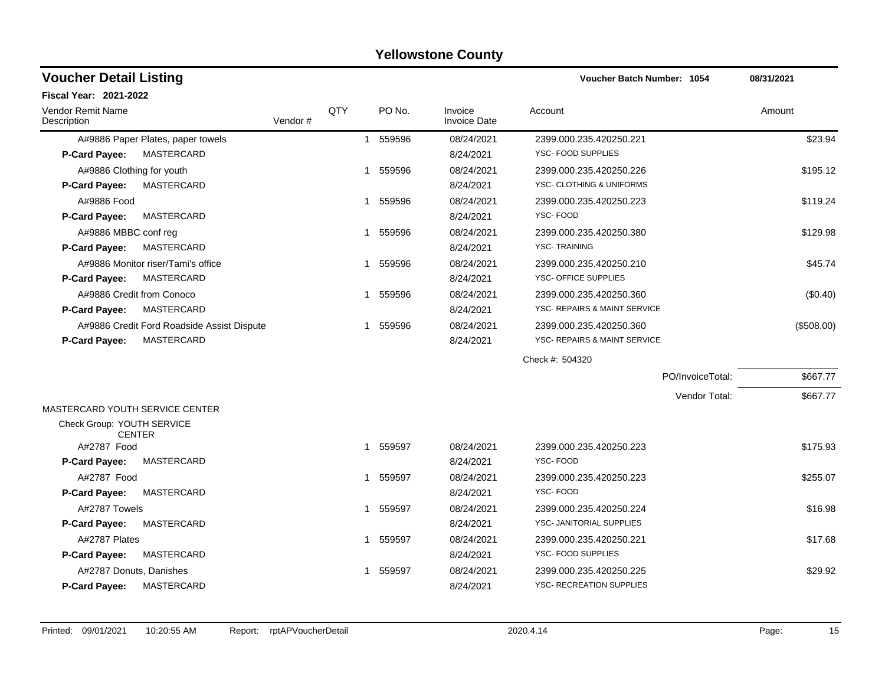| <b>Voucher Detail Listing</b>               |         |     |              |          |                                | Voucher Batch Number: 1054      |                  | 08/31/2021 |
|---------------------------------------------|---------|-----|--------------|----------|--------------------------------|---------------------------------|------------------|------------|
| <b>Fiscal Year: 2021-2022</b>               |         |     |              |          |                                |                                 |                  |            |
| Vendor Remit Name<br>Description            | Vendor# | QTY |              | PO No.   | Invoice<br><b>Invoice Date</b> | Account                         |                  | Amount     |
| A#9886 Paper Plates, paper towels           |         |     | $\mathbf{1}$ | 559596   | 08/24/2021                     | 2399.000.235.420250.221         |                  | \$23.94    |
| <b>MASTERCARD</b><br>P-Card Payee:          |         |     |              |          | 8/24/2021                      | YSC- FOOD SUPPLIES              |                  |            |
| A#9886 Clothing for youth                   |         |     |              | 1 559596 | 08/24/2021                     | 2399.000.235.420250.226         |                  | \$195.12   |
| <b>MASTERCARD</b><br>P-Card Payee:          |         |     |              |          | 8/24/2021                      | YSC- CLOTHING & UNIFORMS        |                  |            |
| A#9886 Food                                 |         |     |              | 1 559596 | 08/24/2021                     | 2399.000.235.420250.223         |                  | \$119.24   |
| MASTERCARD<br>P-Card Payee:                 |         |     |              |          | 8/24/2021                      | YSC-FOOD                        |                  |            |
| A#9886 MBBC conf reg                        |         |     |              | 1 559596 | 08/24/2021                     | 2399.000.235.420250.380         |                  | \$129.98   |
| <b>P-Card Payee:</b><br>MASTERCARD          |         |     |              |          | 8/24/2021                      | <b>YSC-TRAINING</b>             |                  |            |
| A#9886 Monitor riser/Tami's office          |         |     | 1            | 559596   | 08/24/2021                     | 2399.000.235.420250.210         |                  | \$45.74    |
| MASTERCARD<br>P-Card Payee:                 |         |     |              |          | 8/24/2021                      | YSC- OFFICE SUPPLIES            |                  |            |
| A#9886 Credit from Conoco                   |         |     | 1            | 559596   | 08/24/2021                     | 2399.000.235.420250.360         |                  | (\$0.40)   |
| <b>MASTERCARD</b><br><b>P-Card Payee:</b>   |         |     |              |          | 8/24/2021                      | YSC- REPAIRS & MAINT SERVICE    |                  |            |
| A#9886 Credit Ford Roadside Assist Dispute  |         |     | 1            | 559596   | 08/24/2021                     | 2399.000.235.420250.360         |                  | (\$508.00) |
| <b>MASTERCARD</b><br><b>P-Card Payee:</b>   |         |     |              |          | 8/24/2021                      | YSC- REPAIRS & MAINT SERVICE    |                  |            |
|                                             |         |     |              |          |                                | Check #: 504320                 |                  |            |
|                                             |         |     |              |          |                                |                                 | PO/InvoiceTotal: | \$667.77   |
|                                             |         |     |              |          |                                |                                 | Vendor Total:    | \$667.77   |
| MASTERCARD YOUTH SERVICE CENTER             |         |     |              |          |                                |                                 |                  |            |
| Check Group: YOUTH SERVICE<br><b>CENTER</b> |         |     |              |          |                                |                                 |                  |            |
| A#2787 Food                                 |         |     | 1            | 559597   | 08/24/2021                     | 2399.000.235.420250.223         |                  | \$175.93   |
| <b>P-Card Payee:</b><br>MASTERCARD          |         |     |              |          | 8/24/2021                      | YSC-FOOD                        |                  |            |
| A#2787 Food                                 |         |     |              | 1 559597 | 08/24/2021                     | 2399.000.235.420250.223         |                  | \$255.07   |
| <b>P-Card Payee:</b><br>MASTERCARD          |         |     |              |          | 8/24/2021                      | YSC-FOOD                        |                  |            |
| A#2787 Towels                               |         |     | $\mathbf{1}$ | 559597   | 08/24/2021                     | 2399.000.235.420250.224         |                  | \$16.98    |
| <b>P-Card Payee:</b><br>MASTERCARD          |         |     |              |          | 8/24/2021                      | YSC- JANITORIAL SUPPLIES        |                  |            |
| A#2787 Plates                               |         |     |              | 1 559597 | 08/24/2021                     | 2399.000.235.420250.221         |                  | \$17.68    |
| P-Card Payee:<br><b>MASTERCARD</b>          |         |     |              |          | 8/24/2021                      | YSC- FOOD SUPPLIES              |                  |            |
| A#2787 Donuts, Danishes                     |         |     |              | 559597   | 08/24/2021                     | 2399.000.235.420250.225         |                  | \$29.92    |
| <b>P-Card Payee:</b><br><b>MASTERCARD</b>   |         |     |              |          | 8/24/2021                      | <b>YSC- RECREATION SUPPLIES</b> |                  |            |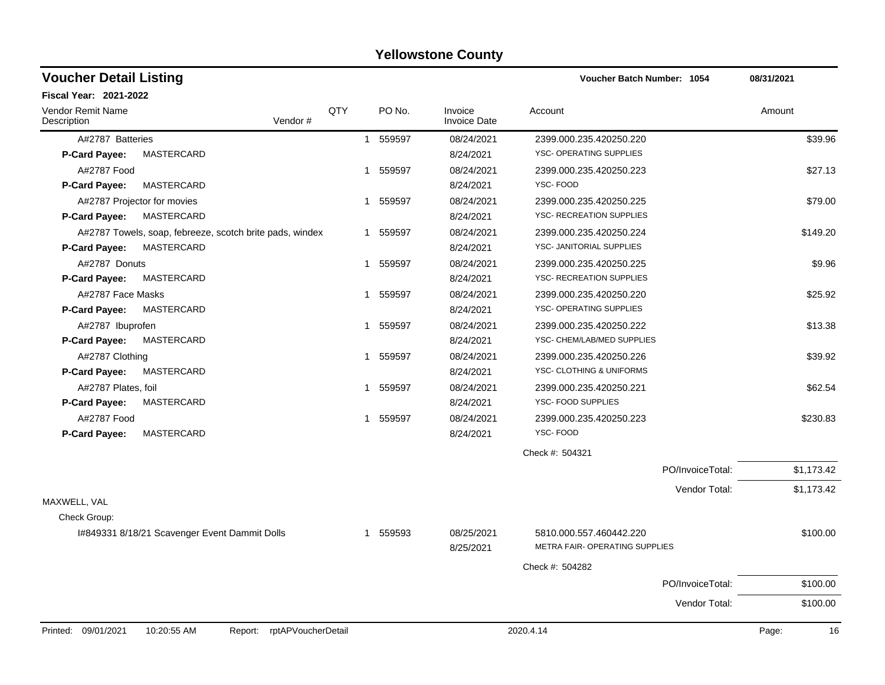| <b>Voucher Detail Listing</b>           |                                                          |     |          |                                | Voucher Batch Number: 1054                                |                  | 08/31/2021  |
|-----------------------------------------|----------------------------------------------------------|-----|----------|--------------------------------|-----------------------------------------------------------|------------------|-------------|
| <b>Fiscal Year: 2021-2022</b>           |                                                          |     |          |                                |                                                           |                  |             |
| <b>Vendor Remit Name</b><br>Description | Vendor #                                                 | QTY | PO No.   | Invoice<br><b>Invoice Date</b> | Account                                                   |                  | Amount      |
| A#2787 Batteries                        |                                                          |     | 1 559597 | 08/24/2021                     | 2399.000.235.420250.220                                   |                  | \$39.96     |
| P-Card Payee:                           | MASTERCARD                                               |     |          | 8/24/2021                      | YSC- OPERATING SUPPLIES                                   |                  |             |
| A#2787 Food                             |                                                          | 1   | 559597   | 08/24/2021                     | 2399.000.235.420250.223                                   |                  | \$27.13     |
| <b>P-Card Payee:</b>                    | <b>MASTERCARD</b>                                        |     |          | 8/24/2021                      | YSC-FOOD                                                  |                  |             |
|                                         | A#2787 Projector for movies                              | -1  | 559597   | 08/24/2021                     | 2399.000.235.420250.225                                   |                  | \$79.00     |
| <b>P-Card Payee:</b>                    | MASTERCARD                                               |     |          | 8/24/2021                      | YSC- RECREATION SUPPLIES                                  |                  |             |
|                                         | A#2787 Towels, soap, febreeze, scotch brite pads, windex | 1   | 559597   | 08/24/2021                     | 2399.000.235.420250.224                                   |                  | \$149.20    |
| P-Card Payee:                           | MASTERCARD                                               |     |          | 8/24/2021                      | YSC- JANITORIAL SUPPLIES                                  |                  |             |
| A#2787 Donuts                           |                                                          | -1  | 559597   | 08/24/2021                     | 2399.000.235.420250.225                                   |                  | \$9.96      |
| P-Card Payee:                           | MASTERCARD                                               |     |          | 8/24/2021                      | YSC- RECREATION SUPPLIES                                  |                  |             |
| A#2787 Face Masks                       |                                                          | -1  | 559597   | 08/24/2021                     | 2399.000.235.420250.220                                   |                  | \$25.92     |
| P-Card Payee:                           | MASTERCARD                                               |     |          | 8/24/2021                      | YSC- OPERATING SUPPLIES                                   |                  |             |
| A#2787 Ibuprofen                        |                                                          | 1   | 559597   | 08/24/2021                     | 2399.000.235.420250.222                                   |                  | \$13.38     |
| P-Card Payee:                           | <b>MASTERCARD</b>                                        |     |          | 8/24/2021                      | YSC- CHEM/LAB/MED SUPPLIES                                |                  |             |
| A#2787 Clothing                         |                                                          | -1  | 559597   | 08/24/2021                     | 2399.000.235.420250.226                                   |                  | \$39.92     |
| P-Card Payee:                           | MASTERCARD                                               |     |          | 8/24/2021                      | YSC- CLOTHING & UNIFORMS                                  |                  |             |
| A#2787 Plates, foil                     |                                                          | 1   | 559597   | 08/24/2021                     | 2399.000.235.420250.221                                   |                  | \$62.54     |
| P-Card Payee:                           | <b>MASTERCARD</b>                                        |     |          | 8/24/2021                      | YSC- FOOD SUPPLIES                                        |                  |             |
| A#2787 Food                             |                                                          | 1   | 559597   | 08/24/2021                     | 2399.000.235.420250.223                                   |                  | \$230.83    |
| P-Card Payee:                           | <b>MASTERCARD</b>                                        |     |          | 8/24/2021                      | YSC-FOOD                                                  |                  |             |
|                                         |                                                          |     |          |                                | Check #: 504321                                           |                  |             |
|                                         |                                                          |     |          |                                |                                                           | PO/InvoiceTotal: | \$1,173.42  |
|                                         |                                                          |     |          |                                |                                                           | Vendor Total:    | \$1,173.42  |
| MAXWELL, VAL                            |                                                          |     |          |                                |                                                           |                  |             |
| Check Group:                            |                                                          |     |          |                                |                                                           |                  |             |
|                                         | I#849331 8/18/21 Scavenger Event Dammit Dolls            |     | 1 559593 | 08/25/2021<br>8/25/2021        | 5810.000.557.460442.220<br>METRA FAIR- OPERATING SUPPLIES |                  | \$100.00    |
|                                         |                                                          |     |          |                                | Check #: 504282                                           |                  |             |
|                                         |                                                          |     |          |                                |                                                           | PO/InvoiceTotal: | \$100.00    |
|                                         |                                                          |     |          |                                |                                                           | Vendor Total:    | \$100.00    |
|                                         |                                                          |     |          |                                |                                                           |                  |             |
| Printed: 09/01/2021                     | 10:20:55 AM<br>rptAPVoucherDetail<br>Report:             |     |          |                                | 2020.4.14                                                 |                  | Page:<br>16 |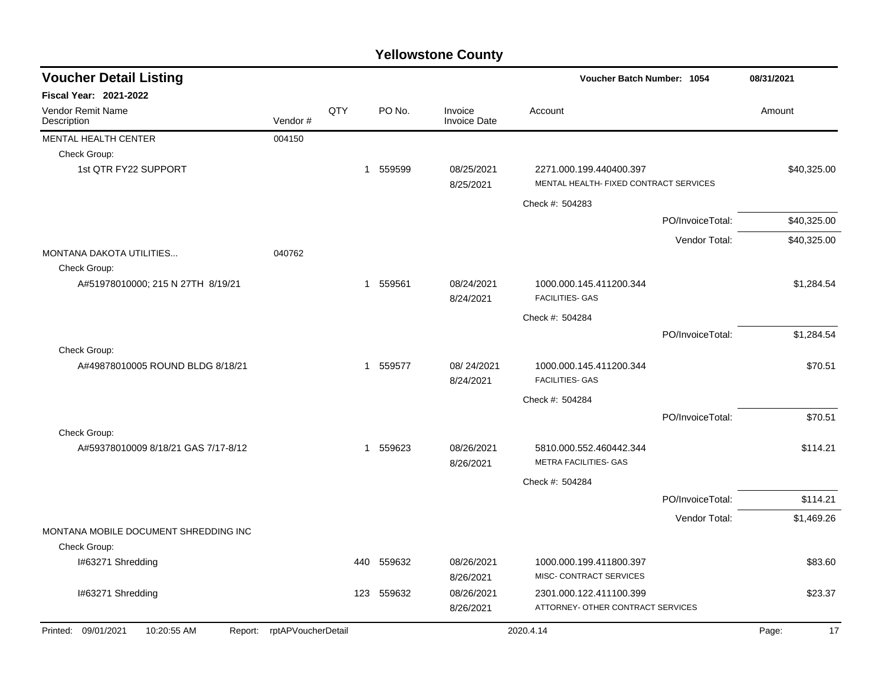| <b>Voucher Detail Listing</b>           |                            |     |          |                                | Voucher Batch Number: 1054                                        |                  | 08/31/2021  |
|-----------------------------------------|----------------------------|-----|----------|--------------------------------|-------------------------------------------------------------------|------------------|-------------|
| <b>Fiscal Year: 2021-2022</b>           |                            |     |          |                                |                                                                   |                  |             |
| <b>Vendor Remit Name</b><br>Description | Vendor#                    | QTY | PO No.   | Invoice<br><b>Invoice Date</b> | Account                                                           |                  | Amount      |
| MENTAL HEALTH CENTER                    | 004150                     |     |          |                                |                                                                   |                  |             |
| Check Group:                            |                            |     |          |                                |                                                                   |                  |             |
| 1st QTR FY22 SUPPORT                    |                            |     | 1 559599 | 08/25/2021<br>8/25/2021        | 2271.000.199.440400.397<br>MENTAL HEALTH- FIXED CONTRACT SERVICES |                  | \$40,325.00 |
|                                         |                            |     |          |                                | Check #: 504283                                                   |                  |             |
|                                         |                            |     |          |                                |                                                                   | PO/InvoiceTotal: | \$40,325.00 |
|                                         |                            |     |          |                                |                                                                   | Vendor Total:    | \$40,325.00 |
| <b>MONTANA DAKOTA UTILITIES</b>         | 040762                     |     |          |                                |                                                                   |                  |             |
| Check Group:                            |                            |     |          |                                |                                                                   |                  |             |
| A#51978010000; 215 N 27TH 8/19/21       |                            | 1   | 559561   | 08/24/2021<br>8/24/2021        | 1000.000.145.411200.344<br><b>FACILITIES- GAS</b>                 |                  | \$1,284.54  |
|                                         |                            |     |          |                                | Check #: 504284                                                   |                  |             |
|                                         |                            |     |          |                                |                                                                   | PO/InvoiceTotal: | \$1,284.54  |
| Check Group:                            |                            |     |          |                                |                                                                   |                  |             |
| A#49878010005 ROUND BLDG 8/18/21        |                            |     | 1 559577 | 08/24/2021<br>8/24/2021        | 1000.000.145.411200.344<br><b>FACILITIES- GAS</b>                 |                  | \$70.51     |
|                                         |                            |     |          |                                | Check #: 504284                                                   |                  |             |
|                                         |                            |     |          |                                |                                                                   | PO/InvoiceTotal: | \$70.51     |
| Check Group:                            |                            |     |          |                                |                                                                   |                  |             |
| A#59378010009 8/18/21 GAS 7/17-8/12     |                            |     | 1 559623 | 08/26/2021<br>8/26/2021        | 5810.000.552.460442.344<br><b>METRA FACILITIES- GAS</b>           |                  | \$114.21    |
|                                         |                            |     |          |                                | Check #: 504284                                                   |                  |             |
|                                         |                            |     |          |                                |                                                                   | PO/InvoiceTotal: | \$114.21    |
|                                         |                            |     |          |                                |                                                                   | Vendor Total:    | \$1,469.26  |
| MONTANA MOBILE DOCUMENT SHREDDING INC   |                            |     |          |                                |                                                                   |                  |             |
| Check Group:                            |                            |     |          |                                |                                                                   |                  |             |
| I#63271 Shredding                       |                            | 440 | 559632   | 08/26/2021                     | 1000.000.199.411800.397                                           |                  | \$83.60     |
|                                         |                            |     |          | 8/26/2021                      | MISC- CONTRACT SERVICES                                           |                  |             |
| I#63271 Shredding                       |                            | 123 | 559632   | 08/26/2021                     | 2301.000.122.411100.399                                           |                  | \$23.37     |
|                                         |                            |     |          | 8/26/2021                      | ATTORNEY- OTHER CONTRACT SERVICES                                 |                  |             |
| Printed: 09/01/2021<br>10:20:55 AM      | Report: rptAPVoucherDetail |     |          |                                | 2020.4.14                                                         |                  | 17<br>Page: |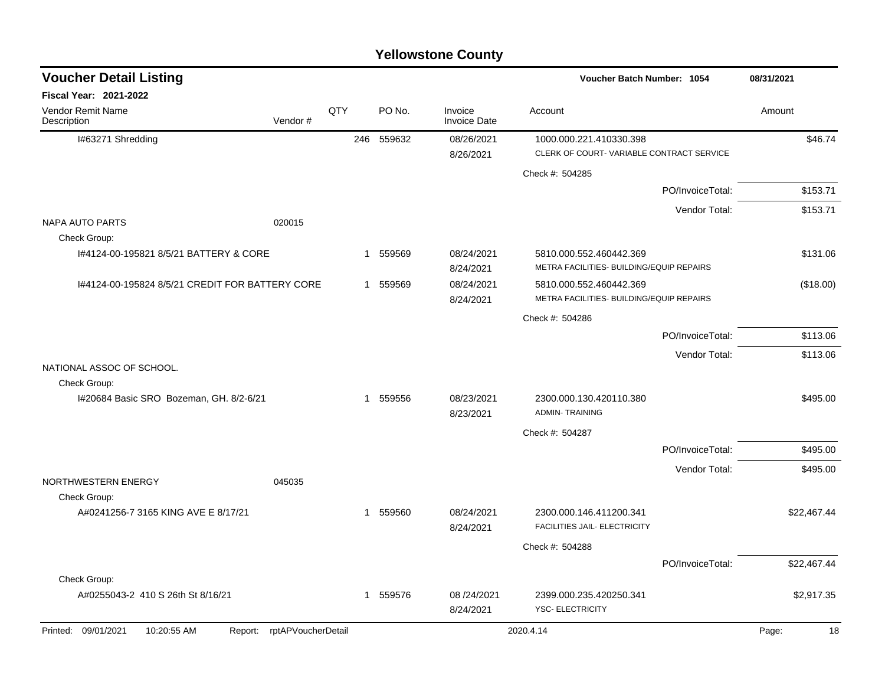| <b>Voucher Detail Listing</b>                           |                            |     |             |                                | Voucher Batch Number: 1054                              |                  | 08/31/2021  |
|---------------------------------------------------------|----------------------------|-----|-------------|--------------------------------|---------------------------------------------------------|------------------|-------------|
| Fiscal Year: 2021-2022                                  |                            |     |             |                                |                                                         |                  |             |
| Vendor Remit Name<br>Description                        | Vendor#                    | QTY | PO No.      | Invoice<br><b>Invoice Date</b> | Account                                                 |                  | Amount      |
| I#63271 Shredding                                       |                            |     | 246 559632  | 08/26/2021                     | 1000.000.221.410330.398                                 |                  | \$46.74     |
|                                                         |                            |     |             | 8/26/2021                      | CLERK OF COURT-VARIABLE CONTRACT SERVICE                |                  |             |
|                                                         |                            |     |             |                                | Check #: 504285                                         |                  |             |
|                                                         |                            |     |             |                                |                                                         | PO/InvoiceTotal: | \$153.71    |
|                                                         |                            |     |             |                                |                                                         | Vendor Total:    | \$153.71    |
| <b>NAPA AUTO PARTS</b>                                  | 020015                     |     |             |                                |                                                         |                  |             |
| Check Group:<br>1#4124-00-195821 8/5/21 BATTERY & CORE  |                            |     | 1 559569    | 08/24/2021                     | 5810.000.552.460442.369                                 |                  | \$131.06    |
|                                                         |                            |     |             | 8/24/2021                      | METRA FACILITIES- BUILDING/EQUIP REPAIRS                |                  |             |
| 1#4124-00-195824 8/5/21 CREDIT FOR BATTERY CORE         |                            |     | 1 559569    | 08/24/2021                     | 5810.000.552.460442.369                                 |                  | (\$18.00)   |
|                                                         |                            |     |             | 8/24/2021                      | METRA FACILITIES- BUILDING/EQUIP REPAIRS                |                  |             |
|                                                         |                            |     |             |                                | Check #: 504286                                         |                  |             |
|                                                         |                            |     |             |                                |                                                         | PO/InvoiceTotal: | \$113.06    |
|                                                         |                            |     |             |                                |                                                         | Vendor Total:    | \$113.06    |
| NATIONAL ASSOC OF SCHOOL.                               |                            |     |             |                                |                                                         |                  |             |
| Check Group:<br>I#20684 Basic SRO Bozeman, GH. 8/2-6/21 |                            |     | 1 559556    | 08/23/2021                     | 2300.000.130.420110.380                                 |                  | \$495.00    |
|                                                         |                            |     |             | 8/23/2021                      | <b>ADMIN-TRAINING</b>                                   |                  |             |
|                                                         |                            |     |             |                                | Check #: 504287                                         |                  |             |
|                                                         |                            |     |             |                                |                                                         | PO/InvoiceTotal: | \$495.00    |
|                                                         |                            |     |             |                                |                                                         | Vendor Total:    | \$495.00    |
| NORTHWESTERN ENERGY                                     | 045035                     |     |             |                                |                                                         |                  |             |
| Check Group:                                            |                            |     |             |                                |                                                         |                  |             |
| A#0241256-7 3165 KING AVE E 8/17/21                     |                            |     | 559560<br>1 | 08/24/2021<br>8/24/2021        | 2300.000.146.411200.341<br>FACILITIES JAIL- ELECTRICITY |                  | \$22,467.44 |
|                                                         |                            |     |             |                                | Check #: 504288                                         |                  |             |
|                                                         |                            |     |             |                                |                                                         | PO/InvoiceTotal: | \$22,467.44 |
| Check Group:                                            |                            |     |             |                                |                                                         |                  |             |
| A#0255043-2 410 S 26th St 8/16/21                       |                            |     | 1 559576    | 08/24/2021<br>8/24/2021        | 2399.000.235.420250.341<br><b>YSC- ELECTRICITY</b>      |                  | \$2,917.35  |
| Printed: 09/01/2021<br>10:20:55 AM                      | Report: rptAPVoucherDetail |     |             |                                | 2020.4.14                                               |                  | 18<br>Page: |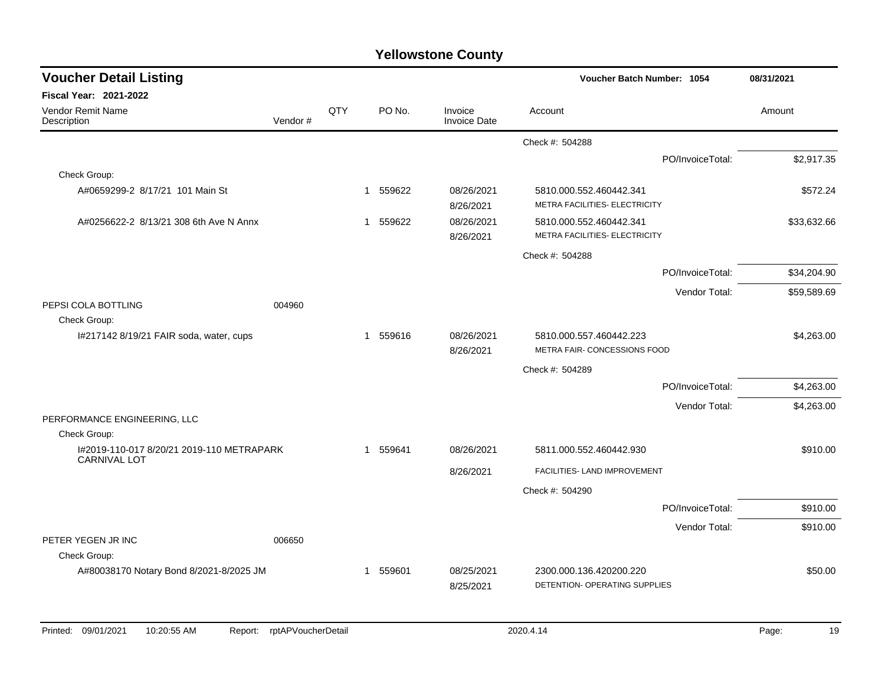| <b>Voucher Detail Listing</b>                                    | Voucher Batch Number: 1054 |     | 08/31/2021   |          |                                |                                                          |                  |             |
|------------------------------------------------------------------|----------------------------|-----|--------------|----------|--------------------------------|----------------------------------------------------------|------------------|-------------|
| <b>Fiscal Year: 2021-2022</b>                                    |                            |     |              |          |                                |                                                          |                  |             |
| Vendor Remit Name<br>Description                                 | Vendor#                    | QTY |              | PO No.   | Invoice<br><b>Invoice Date</b> | Account                                                  |                  | Amount      |
|                                                                  |                            |     |              |          |                                | Check #: 504288                                          |                  |             |
|                                                                  |                            |     |              |          |                                |                                                          | PO/InvoiceTotal: | \$2,917.35  |
| Check Group:                                                     |                            |     |              |          |                                |                                                          |                  |             |
| A#0659299-2 8/17/21 101 Main St                                  |                            |     |              | 1 559622 | 08/26/2021<br>8/26/2021        | 5810.000.552.460442.341<br>METRA FACILITIES- ELECTRICITY |                  | \$572.24    |
| A#0256622-2 8/13/21 308 6th Ave N Annx                           |                            |     | $\mathbf{1}$ | 559622   | 08/26/2021<br>8/26/2021        | 5810.000.552.460442.341<br>METRA FACILITIES- ELECTRICITY |                  | \$33,632.66 |
|                                                                  |                            |     |              |          |                                | Check #: 504288                                          |                  |             |
|                                                                  |                            |     |              |          |                                |                                                          | PO/InvoiceTotal: | \$34,204.90 |
|                                                                  |                            |     |              |          |                                |                                                          | Vendor Total:    | \$59,589.69 |
| PEPSI COLA BOTTLING<br>Check Group:                              | 004960                     |     |              |          |                                |                                                          |                  |             |
| I#217142 8/19/21 FAIR soda, water, cups                          |                            |     |              | 1 559616 | 08/26/2021<br>8/26/2021        | 5810.000.557.460442.223<br>METRA FAIR- CONCESSIONS FOOD  |                  | \$4,263.00  |
|                                                                  |                            |     |              |          |                                | Check #: 504289                                          |                  |             |
|                                                                  |                            |     |              |          |                                |                                                          | PO/InvoiceTotal: | \$4,263.00  |
|                                                                  |                            |     |              |          |                                |                                                          | Vendor Total:    | \$4,263.00  |
| PERFORMANCE ENGINEERING, LLC                                     |                            |     |              |          |                                |                                                          |                  |             |
| Check Group:                                                     |                            |     |              |          |                                |                                                          |                  |             |
| I#2019-110-017 8/20/21 2019-110 METRAPARK<br><b>CARNIVAL LOT</b> |                            |     |              | 1 559641 | 08/26/2021                     | 5811.000.552.460442.930                                  |                  | \$910.00    |
|                                                                  |                            |     |              |          | 8/26/2021                      | FACILITIES- LAND IMPROVEMENT                             |                  |             |
|                                                                  |                            |     |              |          |                                | Check #: 504290                                          |                  |             |
|                                                                  |                            |     |              |          |                                |                                                          | PO/InvoiceTotal: | \$910.00    |
|                                                                  |                            |     |              |          |                                |                                                          | Vendor Total:    | \$910.00    |
| PETER YEGEN JR INC                                               | 006650                     |     |              |          |                                |                                                          |                  |             |
| Check Group:                                                     |                            |     |              |          |                                |                                                          |                  | \$50.00     |
| A#80038170 Notary Bond 8/2021-8/2025 JM                          |                            |     | 1            | 559601   | 08/25/2021<br>8/25/2021        | 2300.000.136.420200.220<br>DETENTION- OPERATING SUPPLIES |                  |             |
|                                                                  |                            |     |              |          |                                |                                                          |                  |             |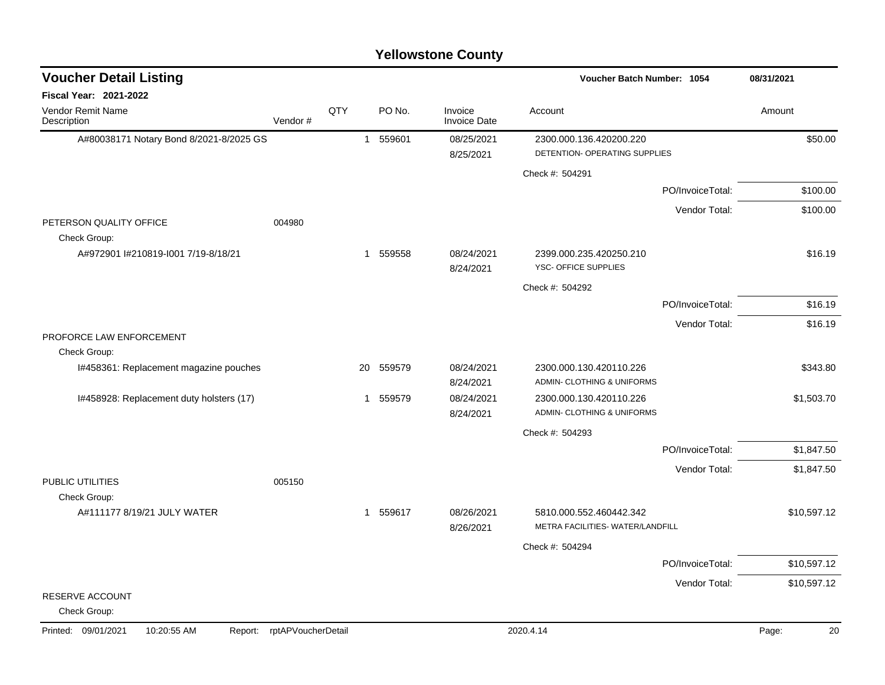| <b>Voucher Detail Listing</b>                 |                    |             |          |                                | Voucher Batch Number: 1054                                  |                  | 08/31/2021  |
|-----------------------------------------------|--------------------|-------------|----------|--------------------------------|-------------------------------------------------------------|------------------|-------------|
| <b>Fiscal Year: 2021-2022</b>                 |                    |             |          |                                |                                                             |                  |             |
| Vendor Remit Name<br>Description              | Vendor#            | QTY         | PO No.   | Invoice<br><b>Invoice Date</b> | Account                                                     |                  | Amount      |
| A#80038171 Notary Bond 8/2021-8/2025 GS       |                    |             | 1 559601 | 08/25/2021                     | 2300.000.136.420200.220                                     |                  | \$50.00     |
|                                               |                    |             |          | 8/25/2021                      | DETENTION- OPERATING SUPPLIES                               |                  |             |
|                                               |                    |             |          |                                | Check #: 504291                                             |                  |             |
|                                               |                    |             |          |                                |                                                             | PO/InvoiceTotal: | \$100.00    |
|                                               |                    |             |          |                                |                                                             | Vendor Total:    | \$100.00    |
| PETERSON QUALITY OFFICE<br>Check Group:       | 004980             |             |          |                                |                                                             |                  |             |
| A#972901 l#210819-l001 7/19-8/18/21           |                    |             | 1 559558 | 08/24/2021<br>8/24/2021        | 2399.000.235.420250.210<br>YSC- OFFICE SUPPLIES             |                  | \$16.19     |
|                                               |                    |             |          |                                | Check #: 504292                                             |                  |             |
|                                               |                    |             |          |                                |                                                             | PO/InvoiceTotal: | \$16.19     |
|                                               |                    |             |          |                                |                                                             | Vendor Total:    | \$16.19     |
| PROFORCE LAW ENFORCEMENT<br>Check Group:      |                    |             |          |                                |                                                             |                  |             |
| I#458361: Replacement magazine pouches        |                    | 20          | 559579   | 08/24/2021<br>8/24/2021        | 2300.000.130.420110.226<br>ADMIN- CLOTHING & UNIFORMS       |                  | \$343.80    |
| I#458928: Replacement duty holsters (17)      |                    | $\mathbf 1$ | 559579   | 08/24/2021<br>8/24/2021        | 2300.000.130.420110.226<br>ADMIN- CLOTHING & UNIFORMS       |                  | \$1,503.70  |
|                                               |                    |             |          |                                | Check #: 504293                                             |                  |             |
|                                               |                    |             |          |                                |                                                             | PO/InvoiceTotal: | \$1,847.50  |
|                                               |                    |             |          |                                |                                                             | Vendor Total:    | \$1,847.50  |
| PUBLIC UTILITIES                              | 005150             |             |          |                                |                                                             |                  |             |
| Check Group:                                  |                    |             |          |                                |                                                             |                  |             |
| A#111177 8/19/21 JULY WATER                   |                    |             | 1 559617 | 08/26/2021<br>8/26/2021        | 5810.000.552.460442.342<br>METRA FACILITIES- WATER/LANDFILL |                  | \$10,597.12 |
|                                               |                    |             |          |                                | Check #: 504294                                             |                  |             |
|                                               |                    |             |          |                                |                                                             | PO/InvoiceTotal: | \$10,597.12 |
|                                               |                    |             |          |                                |                                                             | Vendor Total:    | \$10,597.12 |
| RESERVE ACCOUNT<br>Check Group:               |                    |             |          |                                |                                                             |                  |             |
| Printed: 09/01/2021<br>10:20:55 AM<br>Report: | rptAPVoucherDetail |             |          |                                | 2020.4.14                                                   |                  | 20<br>Page: |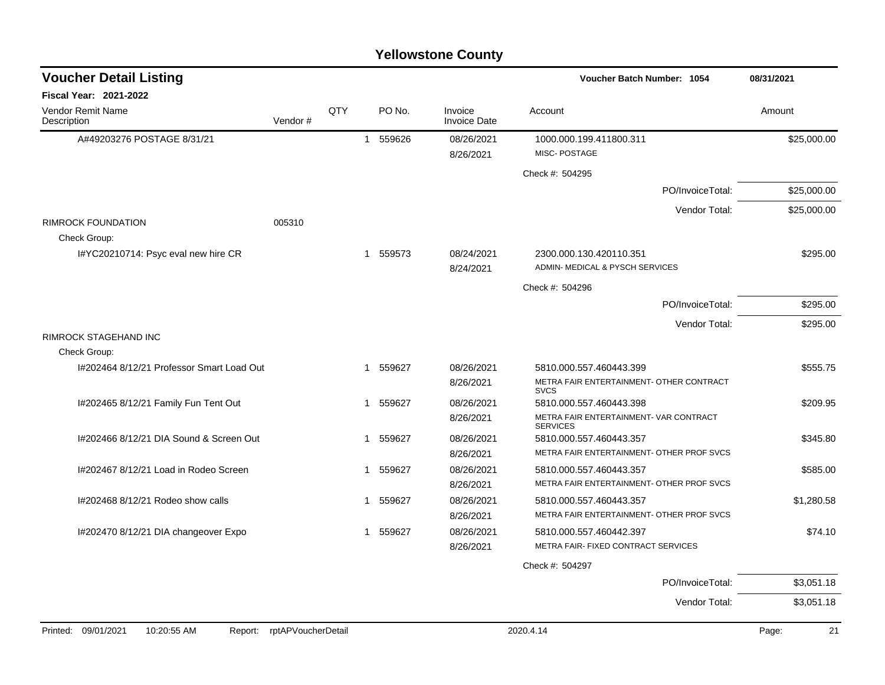| <b>Voucher Detail Listing</b>                                 |                                |     |                       |                                | <b>Voucher Batch Number: 1054</b>                         | 08/31/2021         |
|---------------------------------------------------------------|--------------------------------|-----|-----------------------|--------------------------------|-----------------------------------------------------------|--------------------|
| <b>Fiscal Year: 2021-2022</b>                                 |                                |     |                       |                                |                                                           |                    |
| <b>Vendor Remit Name</b><br>Description                       | Vendor#                        | QTY | PO No.                | Invoice<br><b>Invoice Date</b> | Account                                                   | Amount             |
| A#49203276 POSTAGE 8/31/21                                    |                                |     | 1 559626              | 08/26/2021                     | 1000.000.199.411800.311                                   | \$25,000.00        |
|                                                               |                                |     |                       | 8/26/2021                      | MISC-POSTAGE                                              |                    |
|                                                               |                                |     |                       |                                | Check #: 504295                                           |                    |
|                                                               |                                |     |                       |                                | PO/InvoiceTotal:                                          | \$25,000.00        |
|                                                               |                                |     |                       |                                | Vendor Total:                                             | \$25,000.00        |
| <b>RIMROCK FOUNDATION</b><br>Check Group:                     | 005310                         |     |                       |                                |                                                           |                    |
| I#YC20210714: Psyc eval new hire CR                           |                                |     | 559573<br>$\mathbf 1$ | 08/24/2021                     | 2300.000.130.420110.351                                   | \$295.00           |
|                                                               |                                |     |                       | 8/24/2021                      | ADMIN- MEDICAL & PYSCH SERVICES                           |                    |
|                                                               |                                |     |                       |                                | Check #: 504296                                           |                    |
|                                                               |                                |     |                       |                                | PO/InvoiceTotal:                                          | \$295.00           |
|                                                               |                                |     |                       |                                | Vendor Total:                                             | \$295.00           |
| <b>RIMROCK STAGEHAND INC</b>                                  |                                |     |                       |                                |                                                           |                    |
| Check Group:                                                  |                                |     |                       |                                |                                                           |                    |
| I#202464 8/12/21 Professor Smart Load Out                     |                                |     | 559627<br>-1          | 08/26/2021                     | 5810.000.557.460443.399                                   | \$555.75           |
|                                                               |                                |     |                       | 8/26/2021                      | METRA FAIR ENTERTAINMENT- OTHER CONTRACT<br><b>SVCS</b>   |                    |
| I#202465 8/12/21 Family Fun Tent Out                          |                                |     | 559627<br>1           | 08/26/2021                     | 5810.000.557.460443.398                                   | \$209.95           |
|                                                               |                                |     |                       | 8/26/2021                      | METRA FAIR ENTERTAINMENT- VAR CONTRACT<br><b>SERVICES</b> |                    |
| I#202466 8/12/21 DIA Sound & Screen Out                       |                                |     | 1 559627              | 08/26/2021                     | 5810.000.557.460443.357                                   | \$345.80           |
|                                                               |                                |     |                       | 8/26/2021                      | METRA FAIR ENTERTAINMENT- OTHER PROF SVCS                 |                    |
| 1#202467 8/12/21 Load in Rodeo Screen                         |                                |     | 559627<br>1           | 08/26/2021                     | 5810.000.557.460443.357                                   | \$585.00           |
|                                                               |                                |     |                       | 8/26/2021                      | METRA FAIR ENTERTAINMENT- OTHER PROF SVCS                 |                    |
| I#202468 8/12/21 Rodeo show calls                             |                                |     | 559627<br>1           | 08/26/2021                     | 5810.000.557.460443.357                                   | \$1,280.58         |
|                                                               |                                |     |                       | 8/26/2021                      | METRA FAIR ENTERTAINMENT- OTHER PROF SVCS                 |                    |
| I#202470 8/12/21 DIA changeover Expo                          |                                |     | 559627<br>1           | 08/26/2021                     | 5810.000.557.460442.397                                   | \$74.10            |
|                                                               |                                |     |                       | 8/26/2021                      | METRA FAIR- FIXED CONTRACT SERVICES                       |                    |
|                                                               |                                |     |                       |                                | Check #: 504297                                           |                    |
|                                                               |                                |     |                       |                                | PO/InvoiceTotal:                                          | \$3,051.18         |
|                                                               |                                |     |                       |                                | Vendor Total:                                             | \$3,051.18         |
| $D_{\text{model}} = 00/04/0004$<br>$40.00.55$ AM<br>$D = 4.4$ | $m+1$ DV $l$ and $m$ and $n+1$ |     |                       |                                | 0000AAA                                                   | $D = 44$<br>$\sim$ |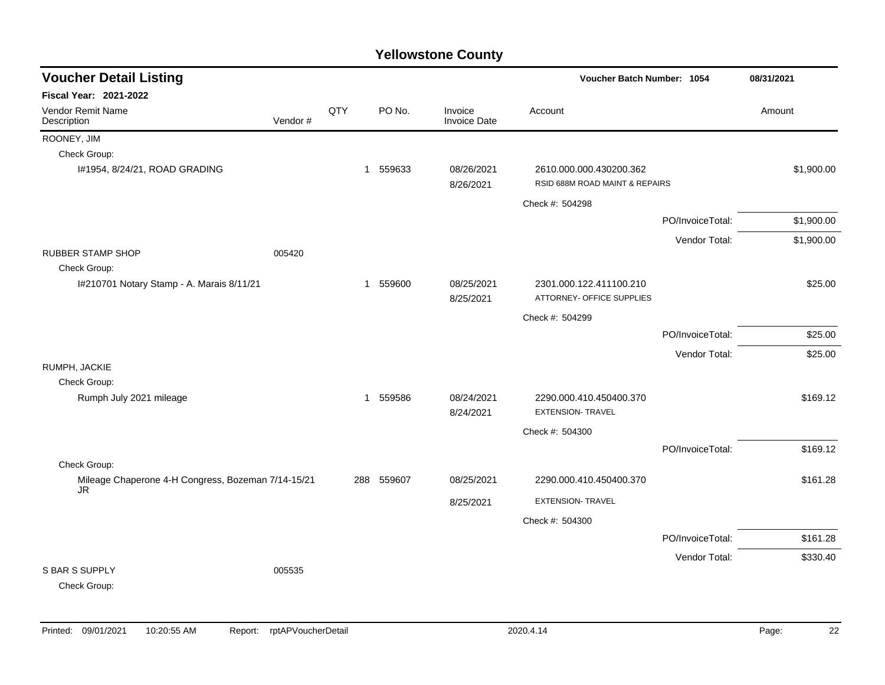| <b>Voucher Detail Listing</b>                      |         |     |          |        |                                | Voucher Batch Number: 1054                                |                  |            |
|----------------------------------------------------|---------|-----|----------|--------|--------------------------------|-----------------------------------------------------------|------------------|------------|
| Fiscal Year: 2021-2022                             |         |     |          |        |                                |                                                           |                  |            |
| Vendor Remit Name<br>Description                   | Vendor# | QTY |          | PO No. | Invoice<br><b>Invoice Date</b> | Account                                                   |                  | Amount     |
| ROONEY, JIM                                        |         |     |          |        |                                |                                                           |                  |            |
| Check Group:                                       |         |     |          |        |                                |                                                           |                  |            |
| I#1954, 8/24/21, ROAD GRADING                      |         |     | 1 559633 |        | 08/26/2021<br>8/26/2021        | 2610.000.000.430200.362<br>RSID 688M ROAD MAINT & REPAIRS |                  | \$1,900.00 |
|                                                    |         |     |          |        |                                | Check #: 504298                                           |                  |            |
|                                                    |         |     |          |        |                                |                                                           | PO/InvoiceTotal: | \$1,900.00 |
|                                                    |         |     |          |        |                                |                                                           | Vendor Total:    | \$1,900.00 |
| <b>RUBBER STAMP SHOP</b>                           | 005420  |     |          |        |                                |                                                           |                  |            |
| Check Group:                                       |         |     |          |        |                                |                                                           |                  |            |
| I#210701 Notary Stamp - A. Marais 8/11/21          |         |     | 1 559600 |        | 08/25/2021                     | 2301.000.122.411100.210                                   |                  | \$25.00    |
|                                                    |         |     |          |        | 8/25/2021                      | ATTORNEY- OFFICE SUPPLIES                                 |                  |            |
|                                                    |         |     |          |        |                                | Check #: 504299                                           |                  |            |
|                                                    |         |     |          |        |                                |                                                           | PO/InvoiceTotal: | \$25.00    |
|                                                    |         |     |          |        |                                |                                                           | Vendor Total:    | \$25.00    |
| RUMPH, JACKIE                                      |         |     |          |        |                                |                                                           |                  |            |
| Check Group:                                       |         |     |          |        |                                |                                                           |                  |            |
| Rumph July 2021 mileage                            |         |     | 1 559586 |        | 08/24/2021<br>8/24/2021        | 2290.000.410.450400.370<br><b>EXTENSION- TRAVEL</b>       |                  | \$169.12   |
|                                                    |         |     |          |        |                                | Check #: 504300                                           |                  |            |
|                                                    |         |     |          |        |                                |                                                           | PO/InvoiceTotal: | \$169.12   |
| Check Group:                                       |         |     |          |        |                                |                                                           |                  |            |
| Mileage Chaperone 4-H Congress, Bozeman 7/14-15/21 |         | 288 |          | 559607 | 08/25/2021                     | 2290.000.410.450400.370                                   |                  | \$161.28   |
| JR                                                 |         |     |          |        | 8/25/2021                      | <b>EXTENSION- TRAVEL</b>                                  |                  |            |
|                                                    |         |     |          |        |                                | Check #: 504300                                           |                  |            |
|                                                    |         |     |          |        |                                |                                                           | PO/InvoiceTotal: | \$161.28   |
|                                                    |         |     |          |        |                                |                                                           | Vendor Total:    | \$330.40   |
| <b>S BAR S SUPPLY</b><br>Check Group:              | 005535  |     |          |        |                                |                                                           |                  |            |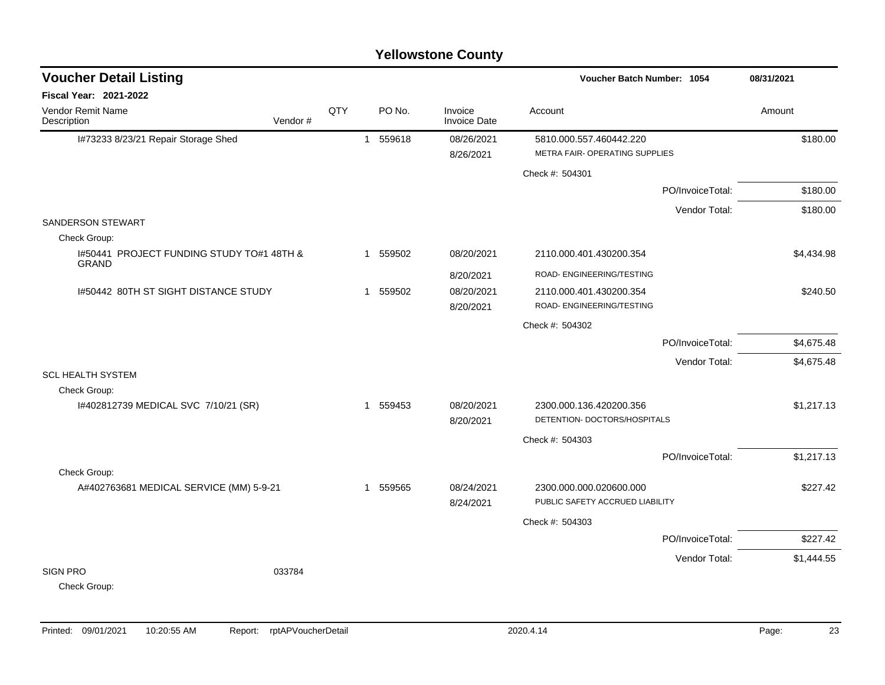| <b>Voucher Detail Listing</b>                             |         |     |              |          |                                | Voucher Batch Number: 1054                                 |                  | 08/31/2021 |
|-----------------------------------------------------------|---------|-----|--------------|----------|--------------------------------|------------------------------------------------------------|------------------|------------|
| <b>Fiscal Year: 2021-2022</b>                             |         |     |              |          |                                |                                                            |                  |            |
| Vendor Remit Name<br>Description                          | Vendor# | QTY |              | PO No.   | Invoice<br><b>Invoice Date</b> | Account                                                    |                  | Amount     |
| I#73233 8/23/21 Repair Storage Shed                       |         |     | $\mathbf{1}$ | 559618   | 08/26/2021<br>8/26/2021        | 5810.000.557.460442.220<br>METRA FAIR- OPERATING SUPPLIES  |                  | \$180.00   |
|                                                           |         |     |              |          |                                | Check #: 504301                                            |                  |            |
|                                                           |         |     |              |          |                                |                                                            | PO/InvoiceTotal: | \$180.00   |
|                                                           |         |     |              |          |                                |                                                            | Vendor Total:    | \$180.00   |
| SANDERSON STEWART                                         |         |     |              |          |                                |                                                            |                  |            |
| Check Group:                                              |         |     |              |          |                                |                                                            |                  |            |
| I#50441 PROJECT FUNDING STUDY TO#1 48TH &<br><b>GRAND</b> |         |     | 1            | 559502   | 08/20/2021                     | 2110.000.401.430200.354                                    |                  | \$4,434.98 |
|                                                           |         |     |              |          | 8/20/2021                      | ROAD- ENGINEERING/TESTING                                  |                  |            |
| 1#50442 80TH ST SIGHT DISTANCE STUDY                      |         |     | $\mathbf{1}$ | 559502   | 08/20/2021                     | 2110.000.401.430200.354                                    |                  | \$240.50   |
|                                                           |         |     |              |          | 8/20/2021                      | ROAD- ENGINEERING/TESTING                                  |                  |            |
|                                                           |         |     |              |          |                                | Check #: 504302                                            |                  |            |
|                                                           |         |     |              |          |                                |                                                            | PO/InvoiceTotal: | \$4,675.48 |
|                                                           |         |     |              |          |                                |                                                            | Vendor Total:    | \$4,675.48 |
| <b>SCL HEALTH SYSTEM</b>                                  |         |     |              |          |                                |                                                            |                  |            |
| Check Group:                                              |         |     |              |          |                                |                                                            |                  |            |
| 1#402812739 MEDICAL SVC 7/10/21 (SR)                      |         |     | 1            | 559453   | 08/20/2021                     | 2300.000.136.420200.356<br>DETENTION- DOCTORS/HOSPITALS    |                  | \$1,217.13 |
|                                                           |         |     |              |          | 8/20/2021                      |                                                            |                  |            |
|                                                           |         |     |              |          |                                | Check #: 504303                                            |                  |            |
|                                                           |         |     |              |          |                                |                                                            | PO/InvoiceTotal: | \$1,217.13 |
| Check Group:                                              |         |     |              |          |                                |                                                            |                  |            |
| A#402763681 MEDICAL SERVICE (MM) 5-9-21                   |         |     |              | 1 559565 | 08/24/2021<br>8/24/2021        | 2300.000.000.020600.000<br>PUBLIC SAFETY ACCRUED LIABILITY |                  | \$227.42   |
|                                                           |         |     |              |          |                                |                                                            |                  |            |
|                                                           |         |     |              |          |                                | Check #: 504303                                            |                  |            |
|                                                           |         |     |              |          |                                |                                                            | PO/InvoiceTotal: | \$227.42   |
|                                                           |         |     |              |          |                                |                                                            | Vendor Total:    | \$1,444.55 |
| <b>SIGN PRO</b>                                           | 033784  |     |              |          |                                |                                                            |                  |            |
| Check Group:                                              |         |     |              |          |                                |                                                            |                  |            |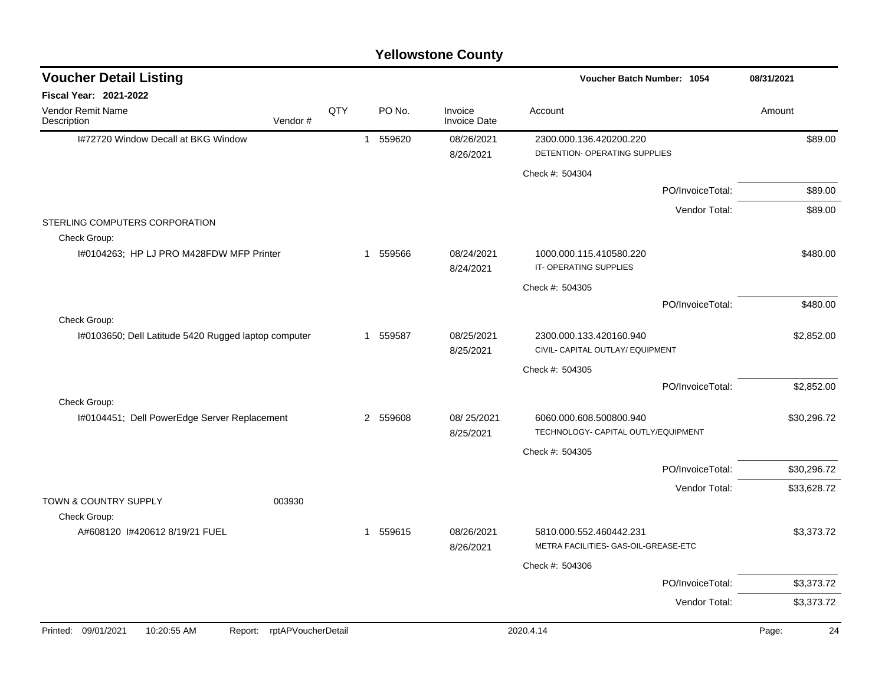| <b>Voucher Detail Listing</b>                        |                               |     |          |                                | Voucher Batch Number: 1054                                      |                  | 08/31/2021  |
|------------------------------------------------------|-------------------------------|-----|----------|--------------------------------|-----------------------------------------------------------------|------------------|-------------|
| Fiscal Year: 2021-2022                               |                               |     |          |                                |                                                                 |                  |             |
| Vendor Remit Name<br>Description                     | Vendor#                       | QTY | PO No.   | Invoice<br><b>Invoice Date</b> | Account                                                         |                  | Amount      |
| 1#72720 Window Decall at BKG Window                  |                               |     | 1 559620 | 08/26/2021<br>8/26/2021        | 2300.000.136.420200.220<br>DETENTION- OPERATING SUPPLIES        |                  | \$89.00     |
|                                                      |                               |     |          |                                | Check #: 504304                                                 |                  |             |
|                                                      |                               |     |          |                                |                                                                 | PO/InvoiceTotal: | \$89.00     |
|                                                      |                               |     |          |                                |                                                                 | Vendor Total:    | \$89.00     |
| STERLING COMPUTERS CORPORATION<br>Check Group:       |                               |     |          |                                |                                                                 |                  |             |
| I#0104263; HP LJ PRO M428FDW MFP Printer             |                               |     | 1 559566 | 08/24/2021<br>8/24/2021        | 1000.000.115.410580.220<br>IT-OPERATING SUPPLIES                |                  | \$480.00    |
|                                                      |                               |     |          |                                | Check #: 504305                                                 |                  |             |
|                                                      |                               |     |          |                                |                                                                 | PO/InvoiceTotal: | \$480.00    |
| Check Group:                                         |                               |     |          |                                |                                                                 |                  |             |
| I#0103650; Dell Latitude 5420 Rugged laptop computer |                               |     | 1 559587 | 08/25/2021<br>8/25/2021        | 2300.000.133.420160.940<br>CIVIL- CAPITAL OUTLAY/ EQUIPMENT     |                  | \$2,852.00  |
|                                                      |                               |     |          |                                | Check #: 504305                                                 |                  |             |
|                                                      |                               |     |          |                                |                                                                 | PO/InvoiceTotal: | \$2,852.00  |
| Check Group:                                         |                               |     |          |                                |                                                                 |                  |             |
| I#0104451; Dell PowerEdge Server Replacement         |                               |     | 2 559608 | 08/25/2021<br>8/25/2021        | 6060.000.608.500800.940<br>TECHNOLOGY- CAPITAL OUTLY/EQUIPMENT  |                  | \$30,296.72 |
|                                                      |                               |     |          |                                | Check #: 504305                                                 |                  |             |
|                                                      |                               |     |          |                                |                                                                 | PO/InvoiceTotal: | \$30,296.72 |
| TOWN & COUNTRY SUPPLY                                | 003930                        |     |          |                                |                                                                 | Vendor Total:    | \$33,628.72 |
| Check Group:                                         |                               |     |          |                                |                                                                 |                  |             |
| A#608120 1#420612 8/19/21 FUEL                       |                               |     | 1 559615 | 08/26/2021<br>8/26/2021        | 5810.000.552.460442.231<br>METRA FACILITIES- GAS-OIL-GREASE-ETC |                  | \$3,373.72  |
|                                                      |                               |     |          |                                | Check #: 504306                                                 |                  |             |
|                                                      |                               |     |          |                                |                                                                 | PO/InvoiceTotal: | \$3,373.72  |
|                                                      |                               |     |          |                                |                                                                 | Vendor Total:    | \$3,373.72  |
| 09/01/2021<br>10:20:55 AM<br>Printed:                | rptAPVoucherDetail<br>Report: |     |          |                                | 2020.4.14                                                       |                  | Page:<br>24 |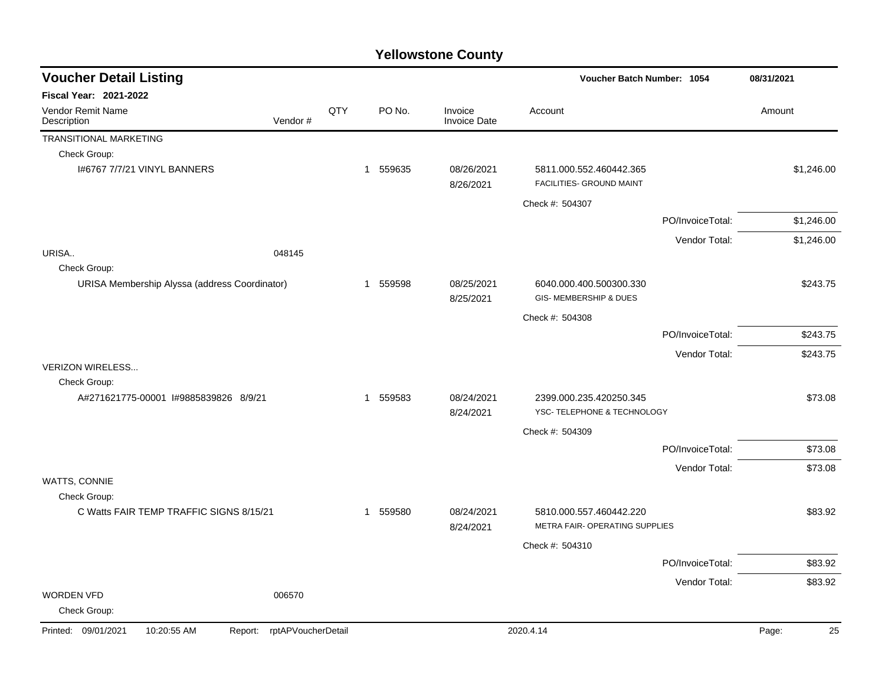| <b>Voucher Detail Listing</b>                 |                    |     |          |                                | Voucher Batch Number: 1054                                |                  | 08/31/2021  |
|-----------------------------------------------|--------------------|-----|----------|--------------------------------|-----------------------------------------------------------|------------------|-------------|
| Fiscal Year: 2021-2022                        |                    |     |          |                                |                                                           |                  |             |
| Vendor Remit Name<br>Description              | Vendor#            | QTY | PO No.   | Invoice<br><b>Invoice Date</b> | Account                                                   |                  | Amount      |
| TRANSITIONAL MARKETING                        |                    |     |          |                                |                                                           |                  |             |
| Check Group:                                  |                    |     |          |                                |                                                           |                  |             |
| 1#6767 7/7/21 VINYL BANNERS                   |                    |     | 1 559635 | 08/26/2021<br>8/26/2021        | 5811.000.552.460442.365<br>FACILITIES- GROUND MAINT       |                  | \$1,246.00  |
|                                               |                    |     |          |                                | Check #: 504307                                           |                  |             |
|                                               |                    |     |          |                                |                                                           | PO/InvoiceTotal: | \$1,246.00  |
|                                               |                    |     |          |                                |                                                           | Vendor Total:    | \$1,246.00  |
| URISA                                         | 048145             |     |          |                                |                                                           |                  |             |
| Check Group:                                  |                    |     |          |                                |                                                           |                  |             |
| URISA Membership Alyssa (address Coordinator) |                    |     | 1 559598 | 08/25/2021<br>8/25/2021        | 6040.000.400.500300.330<br>GIS-MEMBERSHIP & DUES          |                  | \$243.75    |
|                                               |                    |     |          |                                | Check #: 504308                                           |                  |             |
|                                               |                    |     |          |                                |                                                           | PO/InvoiceTotal: | \$243.75    |
|                                               |                    |     |          |                                |                                                           | Vendor Total:    | \$243.75    |
| <b>VERIZON WIRELESS</b>                       |                    |     |          |                                |                                                           |                  |             |
| Check Group:                                  |                    |     |          |                                |                                                           |                  |             |
| A#271621775-00001 I#9885839826 8/9/21         |                    |     | 1 559583 | 08/24/2021<br>8/24/2021        | 2399.000.235.420250.345<br>YSC- TELEPHONE & TECHNOLOGY    |                  | \$73.08     |
|                                               |                    |     |          |                                | Check #: 504309                                           |                  |             |
|                                               |                    |     |          |                                |                                                           | PO/InvoiceTotal: | \$73.08     |
|                                               |                    |     |          |                                |                                                           | Vendor Total:    | \$73.08     |
| WATTS, CONNIE                                 |                    |     |          |                                |                                                           |                  |             |
| Check Group:                                  |                    |     |          |                                |                                                           |                  |             |
| C Watts FAIR TEMP TRAFFIC SIGNS 8/15/21       |                    |     | 1 559580 | 08/24/2021<br>8/24/2021        | 5810.000.557.460442.220<br>METRA FAIR- OPERATING SUPPLIES |                  | \$83.92     |
|                                               |                    |     |          |                                | Check #: 504310                                           |                  |             |
|                                               |                    |     |          |                                |                                                           | PO/InvoiceTotal: | \$83.92     |
|                                               |                    |     |          |                                |                                                           | Vendor Total:    | \$83.92     |
| <b>WORDEN VFD</b><br>Check Group:             | 006570             |     |          |                                |                                                           |                  |             |
| Printed: 09/01/2021<br>10:20:55 AM<br>Report: | rptAPVoucherDetail |     |          |                                | 2020.4.14                                                 |                  | 25<br>Page: |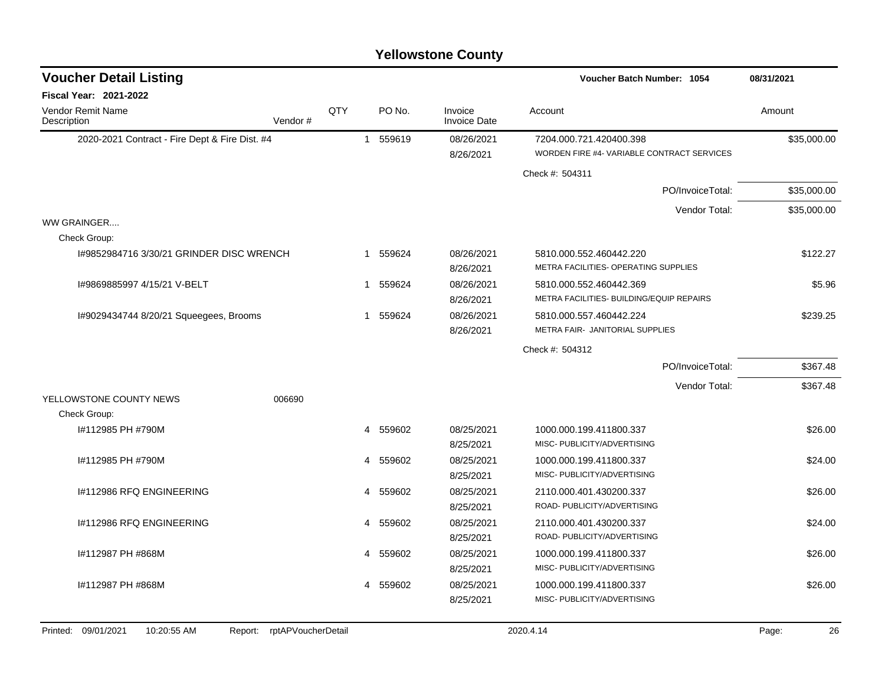|     |                   |  |                                                                                                          | Voucher Batch Number: 1054                                            | 08/31/2021                                   |
|-----|-------------------|--|----------------------------------------------------------------------------------------------------------|-----------------------------------------------------------------------|----------------------------------------------|
|     |                   |  |                                                                                                          |                                                                       |                                              |
| QTY | PO No.            |  | Invoice<br><b>Invoice Date</b>                                                                           | Account                                                               | Amount                                       |
|     |                   |  | 08/26/2021<br>8/26/2021                                                                                  | 7204.000.721.420400.398<br>WORDEN FIRE #4- VARIABLE CONTRACT SERVICES | \$35,000.00                                  |
|     |                   |  |                                                                                                          | Check #: 504311                                                       |                                              |
|     |                   |  |                                                                                                          | PO/InvoiceTotal:                                                      | \$35,000.00                                  |
|     |                   |  |                                                                                                          | Vendor Total:                                                         | \$35,000.00                                  |
|     |                   |  |                                                                                                          |                                                                       |                                              |
|     |                   |  |                                                                                                          |                                                                       |                                              |
|     |                   |  | 08/26/2021<br>8/26/2021                                                                                  | 5810.000.552.460442.220<br>METRA FACILITIES- OPERATING SUPPLIES       | \$122.27                                     |
|     | $\mathbf 1$       |  | 08/26/2021                                                                                               | 5810.000.552.460442.369<br>METRA FACILITIES- BUILDING/EQUIP REPAIRS   | \$5.96                                       |
|     |                   |  | 08/26/2021<br>8/26/2021                                                                                  | 5810.000.557.460442.224<br>METRA FAIR- JANITORIAL SUPPLIES            | \$239.25                                     |
|     |                   |  |                                                                                                          | Check #: 504312                                                       |                                              |
|     |                   |  |                                                                                                          | PO/InvoiceTotal:                                                      | \$367.48                                     |
|     |                   |  |                                                                                                          |                                                                       | \$367.48                                     |
|     |                   |  |                                                                                                          |                                                                       |                                              |
|     |                   |  |                                                                                                          |                                                                       |                                              |
|     | 4                 |  | 08/25/2021                                                                                               | 1000.000.199.411800.337<br>MISC- PUBLICITY/ADVERTISING                | \$26.00                                      |
|     | 4                 |  | 08/25/2021                                                                                               | 1000.000.199.411800.337                                               | \$24.00                                      |
|     |                   |  | 8/25/2021                                                                                                | MISC- PUBLICITY/ADVERTISING                                           |                                              |
|     | 4                 |  | 08/25/2021                                                                                               | 2110.000.401.430200.337<br>ROAD- PUBLICITY/ADVERTISING                | \$26.00                                      |
|     | 4                 |  | 08/25/2021                                                                                               | 2110.000.401.430200.337                                               | \$24.00                                      |
|     |                   |  | 08/25/2021<br>8/25/2021                                                                                  | 1000.000.199.411800.337<br>MISC- PUBLICITY/ADVERTISING                | \$26.00                                      |
|     | 4                 |  | 08/25/2021<br>8/25/2021                                                                                  | 1000.000.199.411800.337<br>MISC- PUBLICITY/ADVERTISING                | \$26.00                                      |
|     | Vendor#<br>006690 |  | 1 559619<br>1 559624<br>559624<br>1 559624<br>559602<br>559602<br>559602<br>559602<br>4 559602<br>559602 | 8/26/2021<br>8/25/2021<br>8/25/2021<br>8/25/2021                      | Vendor Total:<br>ROAD- PUBLICITY/ADVERTISING |